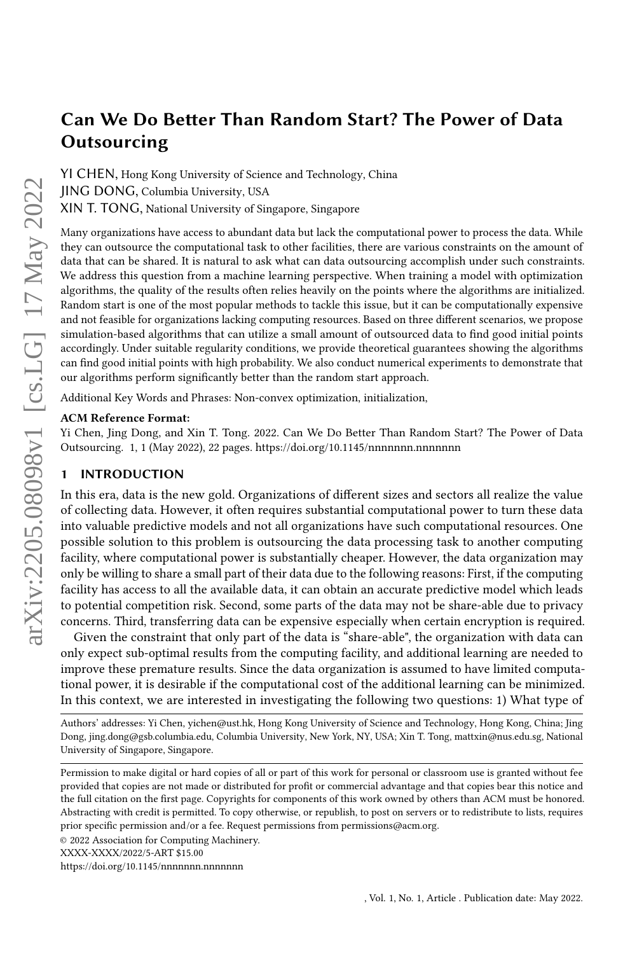YI CHEN, Hong Kong University of Science and Technology, China JING DONG, Columbia University, USA XIN T. TONG, National University of Singapore, Singapore

Many organizations have access to abundant data but lack the computational power to process the data. While they can outsource the computational task to other facilities, there are various constraints on the amount of data that can be shared. It is natural to ask what can data outsourcing accomplish under such constraints. We address this question from a machine learning perspective. When training a model with optimization algorithms, the quality of the results often relies heavily on the points where the algorithms are initialized. Random start is one of the most popular methods to tackle this issue, but it can be computationally expensive and not feasible for organizations lacking computing resources. Based on three different scenarios, we propose simulation-based algorithms that can utilize a small amount of outsourced data to find good initial points accordingly. Under suitable regularity conditions, we provide theoretical guarantees showing the algorithms can find good initial points with high probability. We also conduct numerical experiments to demonstrate that our algorithms perform significantly better than the random start approach.

Additional Key Words and Phrases: Non-convex optimization, initialization,

#### ACM Reference Format:

Yi Chen, Jing Dong, and Xin T. Tong. 2022. Can We Do Better Than Random Start? The Power of Data Outsourcing. 1, 1 (May 2022), [22](#page-21-0) pages.<https://doi.org/10.1145/nnnnnnn.nnnnnnn>

## 1 INTRODUCTION

In this era, data is the new gold. Organizations of different sizes and sectors all realize the value of collecting data. However, it often requires substantial computational power to turn these data into valuable predictive models and not all organizations have such computational resources. One possible solution to this problem is outsourcing the data processing task to another computing facility, where computational power is substantially cheaper. However, the data organization may only be willing to share a small part of their data due to the following reasons: First, if the computing facility has access to all the available data, it can obtain an accurate predictive model which leads to potential competition risk. Second, some parts of the data may not be share-able due to privacy concerns. Third, transferring data can be expensive especially when certain encryption is required.

Given the constraint that only part of the data is "share-able", the organization with data can only expect sub-optimal results from the computing facility, and additional learning are needed to improve these premature results. Since the data organization is assumed to have limited computational power, it is desirable if the computational cost of the additional learning can be minimized. In this context, we are interested in investigating the following two questions: 1) What type of

Authors' addresses: Yi Chen, yichen@ust.hk, Hong Kong University of Science and Technology, Hong Kong, China; Jing Dong, jing.dong@gsb.columbia.edu, Columbia University, New York, NY, USA; Xin T. Tong, mattxin@nus.edu.sg, National University of Singapore, Singapore.

Permission to make digital or hard copies of all or part of this work for personal or classroom use is granted without fee provided that copies are not made or distributed for profit or commercial advantage and that copies bear this notice and the full citation on the first page. Copyrights for components of this work owned by others than ACM must be honored. Abstracting with credit is permitted. To copy otherwise, or republish, to post on servers or to redistribute to lists, requires prior specific permission and/or a fee. Request permissions from permissions@acm.org.

© 2022 Association for Computing Machinery.

<https://doi.org/10.1145/nnnnnnn.nnnnnnn>

XXXX-XXXX/2022/5-ART \$15.00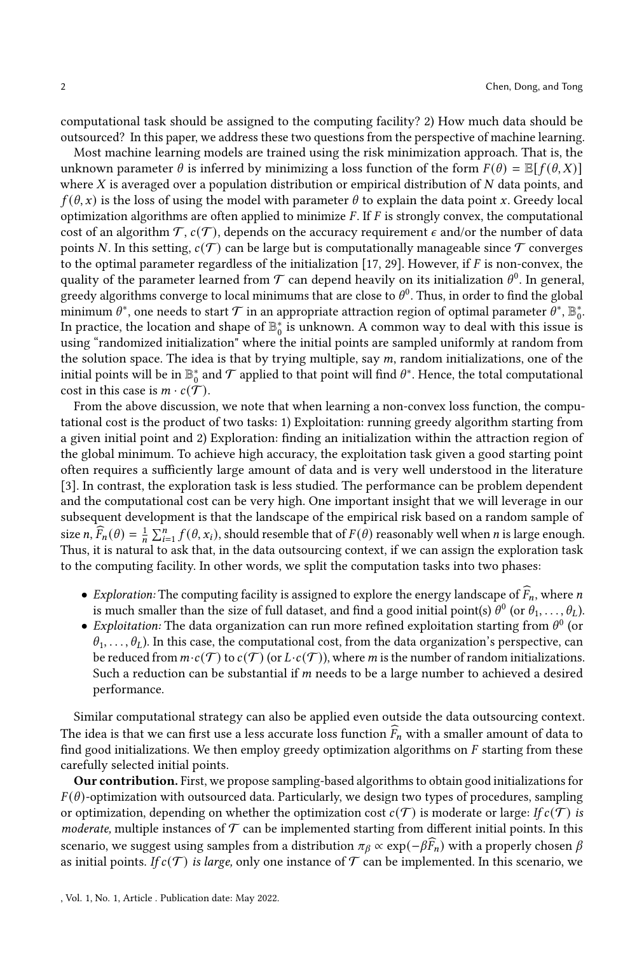computational task should be assigned to the computing facility? 2) How much data should be outsourced? In this paper, we address these two questions from the perspective of machine learning.

Most machine learning models are trained using the risk minimization approach. That is, the unknown parameter  $\theta$  is inferred by minimizing a loss function of the form  $F(\theta) = \mathbb{E}[f(\theta, X)]$ where  $X$  is averaged over a population distribution or empirical distribution of  $N$  data points, and  $f(\theta, x)$  is the loss of using the model with parameter  $\theta$  to explain the data point x. Greedy local optimization algorithms are often applied to minimize  $F$ . If  $F$  is strongly convex, the computational cost of an algorithm  $\mathcal{T}, c(\mathcal{T})$ , depends on the accuracy requirement  $\epsilon$  and/or the number of data points N. In this setting,  $c(\mathcal{T})$  can be large but is computationally manageable since  $\mathcal T$  converges to the optimal parameter regardless of the initialization [\[17,](#page-15-0) [29\]](#page-16-0). However, if  $F$  is non-convex, the quality of the parameter learned from  $\mathcal T$  can depend heavily on its initialization  $\theta^0$ . In general, greedy algorithms converge to local minimums that are close to  $\theta^0$ . Thus, in order to find the global minimum  $\theta^*$ , one needs to start  $\mathcal T$  in an appropriate attraction region of optimal parameter  $\theta^*, \mathbb B^*_0.$ In practice, the location and shape of  $\mathbb{B}_0^*$  is unknown. A common way to deal with this issue is using "randomized initialization" where the initial points are sampled uniformly at random from the solution space. The idea is that by trying multiple, say  $m$ , random initializations, one of the initial points will be in  $\mathbb{B}_0^*$  and  $\mathcal T$  applied to that point will find  $\theta^*$ . Hence, the total computational cost in this case is  $m \cdot c(\mathcal{T})$ .

From the above discussion, we note that when learning a non-convex loss function, the computational cost is the product of two tasks: 1) Exploitation: running greedy algorithm starting from a given initial point and 2) Exploration: finding an initialization within the attraction region of the global minimum. To achieve high accuracy, the exploitation task given a good starting point often requires a sufficiently large amount of data and is very well understood in the literature [\[3\]](#page-15-1). In contrast, the exploration task is less studied. The performance can be problem dependent and the computational cost can be very high. One important insight that we will leverage in our subsequent development is that the landscape of the empirical risk based on a random sample of size  $n, \widehat{F}_n(\theta) = \frac{1}{n} \sum_{i=1}^n f(\theta, x_i)$ , should resemble that of  $F(\theta)$  reasonably well when *n* is large enough. Thus, it is natural to ask that, in the data outsourcing context, if we can assign the exploration task to the computing facility. In other words, we split the computation tasks into two phases:

- $\bullet$  Exploration: The computing facility is assigned to explore the energy landscape of  $\widehat{F}_n,$  where  $n$ is much smaller than the size of full dataset, and find a good initial point(s)  $\theta^0$  (or  $\theta_1, \ldots, \theta_L$ ).
- Exploitation: The data organization can run more refined exploitation starting from  $\theta^0$  (or  $\theta_1, \ldots, \theta_L$ ). In this case, the computational cost, from the data organization's perspective, can be reduced from  $m \cdot c(\mathcal{T})$  to  $c(\mathcal{T})$  (or  $L \cdot c(\mathcal{T})$ ), where *m* is the number of random initializations. Such a reduction can be substantial if  $m$  needs to be a large number to achieved a desired performance.

Similar computational strategy can also be applied even outside the data outsourcing context. The idea is that we can first use a less accurate loss function  $\widehat{F}_n$  with a smaller amount of data to find good initializations. We then employ greedy optimization algorithms on  $F$  starting from these carefully selected initial points.

Our contribution. First, we propose sampling-based algorithms to obtain good initializations for  $F(\theta)$ -optimization with outsourced data. Particularly, we design two types of procedures, sampling or optimization, depending on whether the optimization cost  $c(\mathcal{T})$  is moderate or large: If  $c(\mathcal{T})$  is moderate, multiple instances of  $\mathcal T$  can be implemented starting from different initial points. In this scenario, we suggest using samples from a distribution  $\pi_\beta \propto \exp(-\beta \widehat{F}_n)$  with a properly chosen  $\beta$ as initial points. If  $c(T)$  is large, only one instance of T can be implemented. In this scenario, we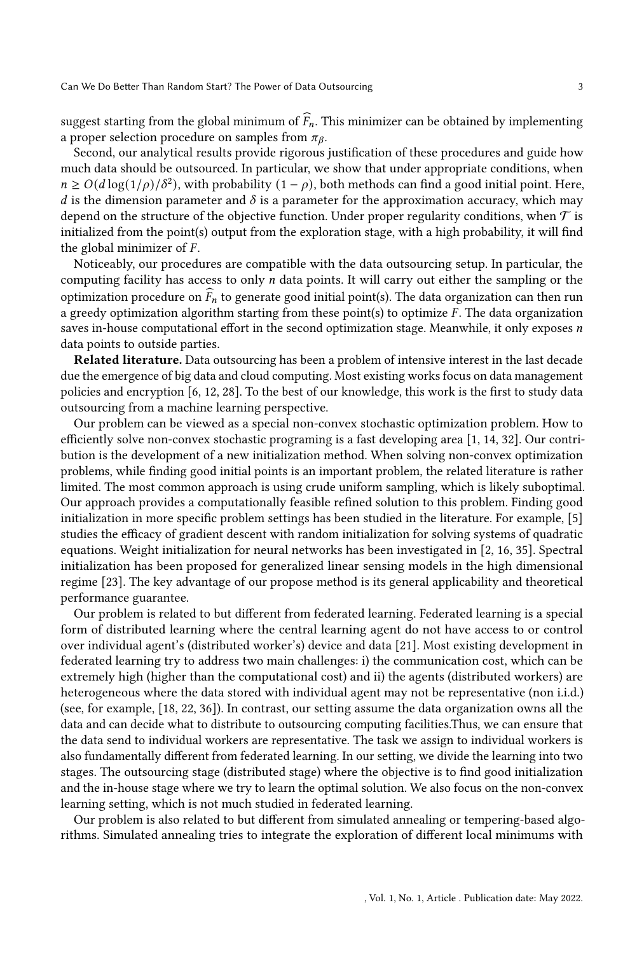suggest starting from the global minimum of  $\widehat{F}_n$ . This minimizer can be obtained by implementing a proper selection procedure on samples from  $\pi_{\beta}$ .

Second, our analytical results provide rigorous justification of these procedures and guide how much data should be outsourced. In particular, we show that under appropriate conditions, when  $n \ge O(d \log(1/\rho)/\delta^2)$ , with probability  $(1 - \rho)$ , both methods can find a good initial point. Here, d is the dimension parameter and  $\delta$  is a parameter for the approximation accuracy, which may depend on the structure of the objective function. Under proper regularity conditions, when  $\mathcal T$  is initialized from the point(s) output from the exploration stage, with a high probability, it will find the global minimizer of  $F$ .

Noticeably, our procedures are compatible with the data outsourcing setup. In particular, the computing facility has access to only  $n$  data points. It will carry out either the sampling or the optimization procedure on  $\bar{F}_n$  to generate good initial point(s). The data organization can then run a greedy optimization algorithm starting from these point(s) to optimize  $F$ . The data organization saves in-house computational effort in the second optimization stage. Meanwhile, it only exposes  $n$ data points to outside parties.

Related literature. Data outsourcing has been a problem of intensive interest in the last decade due the emergence of big data and cloud computing. Most existing works focus on data management policies and encryption [\[6,](#page-15-2) [12,](#page-15-3) [28\]](#page-16-1). To the best of our knowledge, this work is the first to study data outsourcing from a machine learning perspective.

Our problem can be viewed as a special non-convex stochastic optimization problem. How to efficiently solve non-convex stochastic programing is a fast developing area [\[1,](#page-15-4) [14,](#page-15-5) [32\]](#page-16-2). Our contribution is the development of a new initialization method. When solving non-convex optimization problems, while finding good initial points is an important problem, the related literature is rather limited. The most common approach is using crude uniform sampling, which is likely suboptimal. Our approach provides a computationally feasible refined solution to this problem. Finding good initialization in more specific problem settings has been studied in the literature. For example, [\[5\]](#page-15-6) studies the efficacy of gradient descent with random initialization for solving systems of quadratic equations. Weight initialization for neural networks has been investigated in [\[2,](#page-15-7) [16,](#page-15-8) [35\]](#page-16-3). Spectral initialization has been proposed for generalized linear sensing models in the high dimensional regime [\[23\]](#page-16-4). The key advantage of our propose method is its general applicability and theoretical performance guarantee.

Our problem is related to but different from federated learning. Federated learning is a special form of distributed learning where the central learning agent do not have access to or control over individual agent's (distributed worker's) device and data [\[21\]](#page-15-9). Most existing development in federated learning try to address two main challenges: i) the communication cost, which can be extremely high (higher than the computational cost) and ii) the agents (distributed workers) are heterogeneous where the data stored with individual agent may not be representative (non i.i.d.) (see, for example, [\[18,](#page-15-10) [22,](#page-16-5) [36\]](#page-16-6)). In contrast, our setting assume the data organization owns all the data and can decide what to distribute to outsourcing computing facilities.Thus, we can ensure that the data send to individual workers are representative. The task we assign to individual workers is also fundamentally different from federated learning. In our setting, we divide the learning into two stages. The outsourcing stage (distributed stage) where the objective is to find good initialization and the in-house stage where we try to learn the optimal solution. We also focus on the non-convex learning setting, which is not much studied in federated learning.

Our problem is also related to but different from simulated annealing or tempering-based algorithms. Simulated annealing tries to integrate the exploration of different local minimums with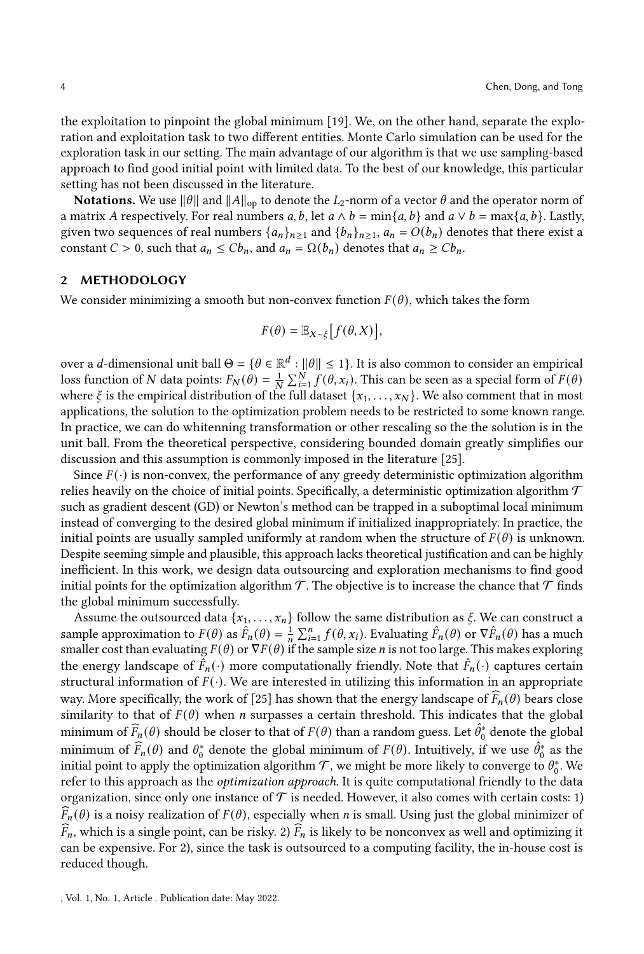the exploitation to pinpoint the global minimum [\[19\]](#page-15-11). We, on the other hand, separate the exploration and exploitation task to two different entities. Monte Carlo simulation can be used for the exploration task in our setting. The main advantage of our algorithm is that we use sampling-based approach to find good initial point with limited data. To the best of our knowledge, this particular setting has not been discussed in the literature.

**Notations.** We use  $||\theta||$  and  $||A||_{op}$  to denote the  $L_2$ -norm of a vector  $\theta$  and the operator norm of a matrix A respectively. For real numbers a, b, let  $a \wedge b = \min\{a, b\}$  and  $a \vee b = \max\{a, b\}$ . Lastly, given two sequences of real numbers  ${a_n}_{n \geq 1}$  and  ${b_n}_{n \geq 1}$ ,  $a_n = O(b_n)$  denotes that there exist a constant  $C > 0$ , such that  $a_n \leq C b_n$ , and  $a_n = \Omega(b_n)$  denotes that  $a_n \geq C b_n$ .

#### 2 METHODOLOGY

We consider minimizing a smooth but non-convex function  $F(\theta)$ , which takes the form

$$
F(\theta) = \mathbb{E}_{X \sim \xi} \big[ f(\theta, X) \big],
$$

over a d-dimensional unit ball  $\Theta = \{ \theta \in \mathbb{R}^d : ||\theta|| \leq 1 \}.$  It is also common to consider an empirical loss function of N data points:  $F_N(\theta) = \frac{1}{N} \sum_{i=1}^N \int d^2 \theta_i x_i$ ). This can be seen as a special form of  $F(\theta)$ where  $\xi$  is the empirical distribution of the full dataset  $\{x_1, \ldots, x_N\}$ . We also comment that in most applications, the solution to the optimization problem needs to be restricted to some known range. In practice, we can do whitenning transformation or other rescaling so the the solution is in the unit ball. From the theoretical perspective, considering bounded domain greatly simplifies our discussion and this assumption is commonly imposed in the literature [\[25\]](#page-16-7).

Since  $F(\cdot)$  is non-convex, the performance of any greedy deterministic optimization algorithm relies heavily on the choice of initial points. Specifically, a deterministic optimization algorithm  $\mathcal T$ such as gradient descent (GD) or Newton's method can be trapped in a suboptimal local minimum instead of converging to the desired global minimum if initialized inappropriately. In practice, the initial points are usually sampled uniformly at random when the structure of  $F(\theta)$  is unknown. Despite seeming simple and plausible, this approach lacks theoretical justification and can be highly inefficient. In this work, we design data outsourcing and exploration mechanisms to find good initial points for the optimization algorithm  $\mathcal T$ . The objective is to increase the chance that  $\mathcal T$  finds the global minimum successfully.

Assume the outsourced data  $\{x_1, \ldots, x_n\}$  follow the same distribution as  $\xi$ . We can construct a sample approximation to  $F(\theta)$  as  $\hat{F}_n(\theta) = \frac{1}{n} \sum_{i=1}^n f(\theta, x_i)$ . Evaluating  $\hat{F}_n(\theta)$  or  $\nabla \hat{F}_n(\theta)$  has a much smaller cost than evaluating  $F(\theta)$  or  $\nabla F(\theta)$  if the sample size *n* is not too large. This makes exploring the energy landscape of  $\hat{F}_n(\cdot)$  more computationally friendly. Note that  $\hat{F}_n(\cdot)$  captures certain structural information of  $F(\cdot)$ . We are interested in utilizing this information in an appropriate way. More specifically, the work of [\[25\]](#page-16-7) has shown that the energy landscape of  $\widehat{F}_n(\theta)$  bears close similarity to that of  $F(\theta)$  when *n* surpasses a certain threshold. This indicates that the global minimum of  $\widehat{F}_n(\theta)$  should be closer to that of  $F(\theta)$  than a random guess. Let  $\widehat{\theta}_0^*$  denote the global minimum of  $\hat{F}_n(\theta)$  and  $\theta_0^*$  denote the global minimum of  $F(\theta)$ . Intuitively, if we use  $\hat{\theta}_0^*$  as the initial point to apply the optimization algorithm  $\mathcal T$ , we might be more likely to converge to  $\theta^*_0.$  We refer to this approach as the *optimization approach*. It is quite computational friendly to the data organization, since only one instance of  $\mathcal T$  is needed. However, it also comes with certain costs: 1)  $\widehat{F}_n(\theta)$  is a noisy realization of  $F(\theta)$ , especially when *n* is small. Using just the global minimizer of  $\widehat{F}_n$ , which is a single point, can be risky. 2)  $\widehat{F}_n$  is likely to be nonconvex as well and optimizing it can be expensive. For 2), since the task is outsourced to a computing facility, the in-house cost is reduced though.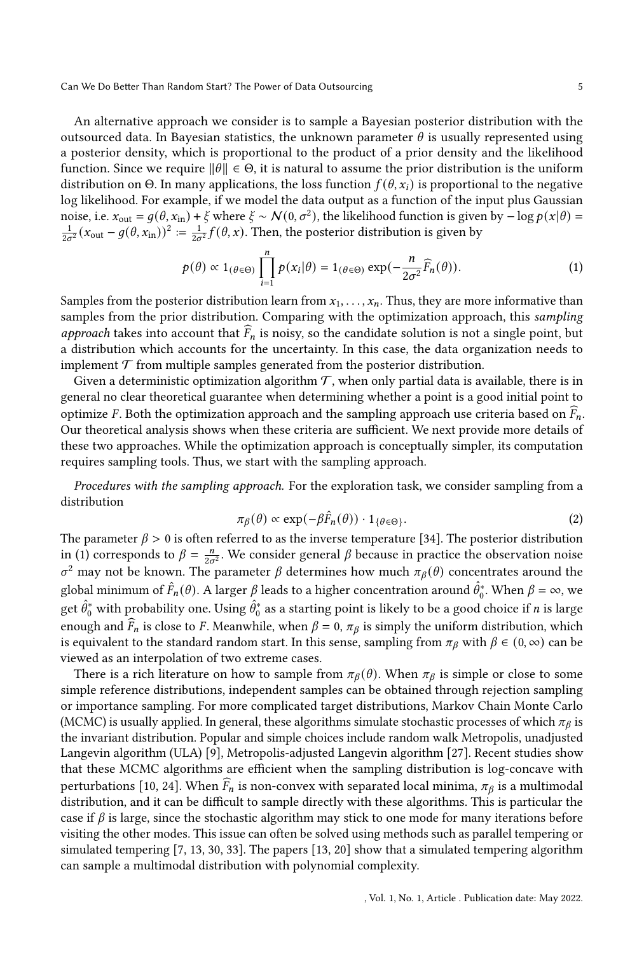An alternative approach we consider is to sample a Bayesian posterior distribution with the outsourced data. In Bayesian statistics, the unknown parameter  $\theta$  is usually represented using a posterior density, which is proportional to the product of a prior density and the likelihood function. Since we require  $||\theta|| \in \Theta$ , it is natural to assume the prior distribution is the uniform distribution on Θ. In many applications, the loss function  $f(\theta, x_i)$  is proportional to the negative log likelihood. For example, if we model the data output as a function of the input plus Gaussian noise, i.e.  $x_{\text{out}} = g(\theta, x_{\text{in}}) + \xi$  where  $\xi \sim \mathcal{N}(0, \sigma^2)$ , the likelihood function is given by  $-\log p(x|\theta) =$  $\frac{1}{2\sigma^2}(x_{\text{out}}-g(\theta,x_{\text{in}}))^2 = \frac{1}{2\sigma^2}f(\theta,x)$ . Then, the posterior distribution is given by

<span id="page-4-0"></span>
$$
p(\theta) \propto 1_{(\theta \in \Theta)} \prod_{i=1}^{n} p(x_i|\theta) = 1_{(\theta \in \Theta)} \exp(-\frac{n}{2\sigma^2} \widehat{F}_n(\theta)).
$$
 (1)

Samples from the posterior distribution learn from  $x_1, \ldots, x_n$ . Thus, they are more informative than samples from the prior distribution. Comparing with the optimization approach, this sampling approach takes into account that  $\overline{F}_n$  is noisy, so the candidate solution is not a single point, but a distribution which accounts for the uncertainty. In this case, the data organization needs to implement  $\mathcal T$  from multiple samples generated from the posterior distribution.

Given a deterministic optimization algorithm  $\tau$ , when only partial data is available, there is in general no clear theoretical guarantee when determining whether a point is a good initial point to optimize *F*. Both the optimization approach and the sampling approach use criteria based on  $\widehat{F}_n$ . Our theoretical analysis shows when these criteria are sufficient. We next provide more details of these two approaches. While the optimization approach is conceptually simpler, its computation requires sampling tools. Thus, we start with the sampling approach.

Procedures with the sampling approach. For the exploration task, we consider sampling from a distribution

<span id="page-4-1"></span>
$$
\pi_{\beta}(\theta) \propto \exp(-\beta \hat{F}_n(\theta)) \cdot 1_{\{\theta \in \Theta\}}.\tag{2}
$$

The parameter  $\beta > 0$  is often referred to as the inverse temperature [\[34\]](#page-16-8). The posterior distribution in [\(1\)](#page-4-0) corresponds to  $\beta = \frac{n}{2\sigma^2}$ . We consider general  $\beta$  because in practice the observation noise  $\sigma^2$  may not be known. The parameter  $\beta$  determines how much  $\pi_\beta(\theta)$  concentrates around the global minimum of  $\hat{F}_n(\theta)$ . A larger  $\beta$  leads to a higher concentration around  $\hat{\theta}_0^*$ . When  $\beta = \infty$ , we get  $\hat{\theta}_0^*$  with probability one. Using  $\hat{\theta}_0^*$  as a starting point is likely to be a good choice if n is large enough and  $\tilde{F}_n$  is close to F. Meanwhile, when  $\beta = 0$ ,  $\pi_\beta$  is simply the uniform distribution, which is equivalent to the standard random start. In this sense, sampling from  $\pi_\beta$  with  $\beta \in (0, \infty)$  can be viewed as an interpolation of two extreme cases.

There is a rich literature on how to sample from  $\pi_\beta(\theta)$ . When  $\pi_\beta$  is simple or close to some simple reference distributions, independent samples can be obtained through rejection sampling or importance sampling. For more complicated target distributions, Markov Chain Monte Carlo (MCMC) is usually applied. In general, these algorithms simulate stochastic processes of which  $\pi_{\beta}$  is the invariant distribution. Popular and simple choices include random walk Metropolis, unadjusted Langevin algorithm (ULA) [\[9\]](#page-15-12), Metropolis-adjusted Langevin algorithm [\[27\]](#page-16-9). Recent studies show that these MCMC algorithms are efficient when the sampling distribution is log-concave with perturbations [\[10,](#page-15-13) [24\]](#page-16-10). When  $\widehat{F}_n$  is non-convex with separated local minima,  $\pi_\beta$  is a multimodal distribution, and it can be difficult to sample directly with these algorithms. This is particular the case if  $\beta$  is large, since the stochastic algorithm may stick to one mode for many iterations before visiting the other modes. This issue can often be solved using methods such as parallel tempering or simulated tempering [\[7,](#page-15-14) [13,](#page-15-15) [30,](#page-16-11) [33\]](#page-16-12). The papers [\[13,](#page-15-15) [20\]](#page-15-16) show that a simulated tempering algorithm can sample a multimodal distribution with polynomial complexity.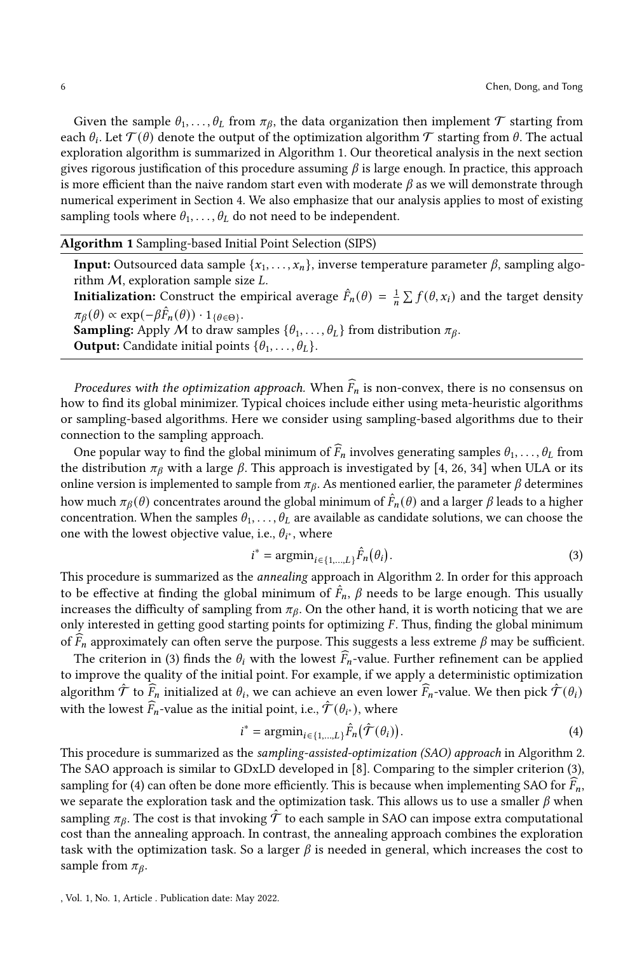Given the sample  $\theta_1, \ldots, \theta_L$  from  $\pi_{\beta}$ , the data organization then implement  $\mathcal T$  starting from each  $\theta_i$ . Let  $\mathcal{T}(\theta)$  denote the output of the optimization algorithm  $\mathcal T$  starting from  $\theta$ . The actual exploration algorithm is summarized in Algorithm [1.](#page-5-0) Our theoretical analysis in the next section gives rigorous justification of this procedure assuming  $\beta$  is large enough. In practice, this approach is more efficient than the naive random start even with moderate  $\beta$  as we will demonstrate through numerical experiment in Section [4.](#page-10-0) We also emphasize that our analysis applies to most of existing sampling tools where  $\theta_1, \ldots, \theta_L$  do not need to be independent.

# Algorithm 1 Sampling-based Initial Point Selection (SIPS)

**Input:** Outsourced data sample  $\{x_1, \ldots, x_n\}$ , inverse temperature parameter  $\beta$ , sampling algorithm  $M$ , exploration sample size  $L$ .

**Initialization:** Construct the empirical average  $\hat{F}_n(\theta) = \frac{1}{n} \sum f(\theta, x_i)$  and the target density  $\pi_{\beta}(\theta) \propto \exp(-\beta \hat{F}_n(\theta)) \cdot 1_{\{\theta \in \Theta\}}.$ 

**Sampling:** Apply M to draw samples  $\{\theta_1, \ldots, \theta_L\}$  from distribution  $\pi_{\beta}$ .

**Output:** Candidate initial points  $\{\theta_1, \ldots, \theta_L\}.$ 

Procedures with the optimization approach. When  $\widehat{F}_n$  is non-convex, there is no consensus on how to find its global minimizer. Typical choices include either using meta-heuristic algorithms or sampling-based algorithms. Here we consider using sampling-based algorithms due to their connection to the sampling approach.

One popular way to find the global minimum of  $\widehat{F}_n$  involves generating samples  $\theta_1, \ldots, \theta_l$  from the distribution  $\pi_\beta$  with a large  $\beta$ . This approach is investigated by [\[4,](#page-15-17) [26,](#page-16-13) [34\]](#page-16-8) when ULA or its online version is implemented to sample from  $\pi_{\beta}$ . As mentioned earlier, the parameter  $\beta$  determines how much  $\pi_{\beta}(\theta)$  concentrates around the global minimum of  $\hat{F}_n(\theta)$  and a larger  $\beta$  leads to a higher concentration. When the samples  $\theta_1, \ldots, \theta_L$  are available as candidate solutions, we can choose the one with the lowest objective value, i.e.,  $\theta_{i^*}$ , where

<span id="page-5-1"></span><span id="page-5-0"></span>
$$
i^* = \operatorname{argmin}_{i \in \{1, \dots, L\}} \hat{F}_n(\theta_i). \tag{3}
$$

This procedure is summarized as the annealing approach in Algorithm [2.](#page-6-0) In order for this approach to be effective at finding the global minimum of  $\hat{F}_n$ ,  $\beta$  needs to be large enough. This usually increases the difficulty of sampling from  $\pi_{\beta}$ . On the other hand, it is worth noticing that we are only interested in getting good starting points for optimizing  $F$ . Thus, finding the global minimum of  $\overline{F}_n$  approximately can often serve the purpose. This suggests a less extreme  $\beta$  may be sufficient.

The criterion in [\(3\)](#page-5-1) finds the  $\theta_i$  with the lowest  $\widehat{F}_n$ -value. Further refinement can be applied to improve the quality of the initial point. For example, if we apply a deterministic optimization algorithm  $\hat{\mathcal{T}}$  to  $\hat{\vec{F}}_n$  initialized at  $\theta_i$ , we can achieve an even lower  $\hat{F}_n$ -value. We then pick  $\hat{\mathcal{T}}(\theta_i)$ with the lowest  $\hat{F}_n$ -value as the initial point, i.e.,  $\hat{\mathcal{T}}(\theta_{i^*})$ , where

<span id="page-5-2"></span>
$$
i^* = \operatorname{argmin}_{i \in \{1, \dots, L\}} \hat{F}_n(\hat{\mathcal{T}}(\theta_i)).
$$
\n(4)

This procedure is summarized as the sampling-assisted-optimization (SAO) approach in Algorithm [2.](#page-6-0) The SAO approach is similar to GDxLD developed in [\[8\]](#page-15-18). Comparing to the simpler criterion [\(3\)](#page-5-1), sampling for [\(4\)](#page-5-2) can often be done more efficiently. This is because when implementing SAO for  $F_n$ , we separate the exploration task and the optimization task. This allows us to use a smaller  $\beta$  when sampling  $\pi_{\beta}$ . The cost is that invoking  $\hat{\mathcal{T}}$  to each sample in SAO can impose extra computational cost than the annealing approach. In contrast, the annealing approach combines the exploration task with the optimization task. So a larger  $\beta$  is needed in general, which increases the cost to sample from  $\pi_{\beta}$ .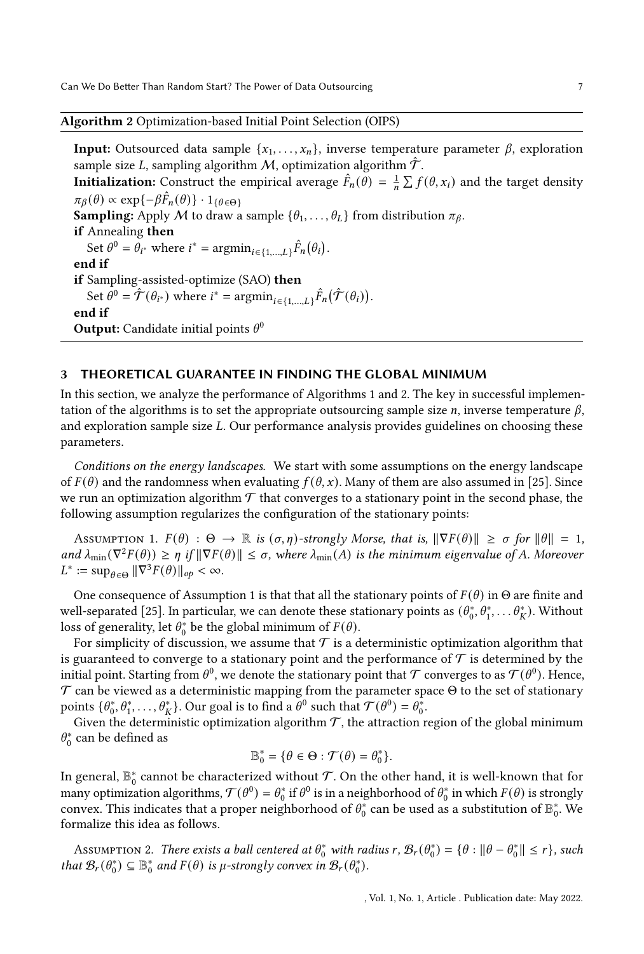Algorithm 2 Optimization-based Initial Point Selection (OIPS)

**Input:** Outsourced data sample  $\{x_1, \ldots, x_n\}$ , inverse temperature parameter  $\beta$ , exploration sample size L, sampling algorithm M, optimization algorithm  $\hat{\mathcal{T}}$ . **Initialization:** Construct the empirical average  $\hat{F}_n(\theta) = \frac{1}{n} \sum f(\theta, x_i)$  and the target density  $\pi_{\beta}(\theta) \propto \exp\{-\beta \hat{F}_n(\theta)\} \cdot 1_{\{\theta \in \Theta\}}$ **Sampling:** Apply M to draw a sample  $\{\theta_1, \ldots, \theta_L\}$  from distribution  $\pi_\beta$ . if Annealing then Set  $\theta^0 = \theta_{i^*}$  where  $i^* = \operatorname{argmin}_{i \in \{1,...,L\}} \hat{F}_n(\theta_i)$ . end if if Sampling-assisted-optimize (SAO) then Set  $\theta^0 = \hat{\mathcal{T}}(\theta_{i^*})$  where  $i^* = \operatorname{argmin}_{i \in \{1,...,L\}} \hat{F}_n(\hat{\mathcal{T}}(\theta_i)).$ end if **Output:** Candidate initial points  $\theta^0$ 

# <span id="page-6-0"></span>3 THEORETICAL GUARANTEE IN FINDING THE GLOBAL MINIMUM

In this section, we analyze the performance of Algorithms [1](#page-5-0) and [2.](#page-6-0) The key in successful implementation of the algorithms is to set the appropriate outsourcing sample size *n*, inverse temperature  $\beta$ , and exploration sample size L. Our performance analysis provides guidelines on choosing these parameters.

Conditions on the energy landscapes. We start with some assumptions on the energy landscape of  $F(\theta)$  and the randomness when evaluating  $f(\theta, x)$ . Many of them are also assumed in [\[25\]](#page-16-7). Since we run an optimization algorithm  $\mathcal T$  that converges to a stationary point in the second phase, the following assumption regularizes the configuration of the stationary points:

<span id="page-6-1"></span>ASSUMPTION 1.  $F(\theta) : \Theta \to \mathbb{R}$  is  $(\sigma, \eta)$ -strongly Morse, that is,  $\|\nabla F(\theta)\| \ge \sigma$  for  $\|\theta\| = 1$ , and  $\lambda_{\min}(\nabla^2 F(\theta)) \ge \eta$  if  $\|\nabla F(\theta)\| \le \sigma$ , where  $\lambda_{\min}(A)$  is the minimum eigenvalue of A. Moreover  $L^* := \sup_{\theta \in \Theta} \|\nabla^3 F(\theta)\|_{op} < \infty.$ 

One consequence of Assumption [1](#page-6-1) is that that all the stationary points of  $F(\theta)$  in  $\Theta$  are finite and well-separated [\[25\]](#page-16-7). In particular, we can denote these stationary points as  $(\theta_0^*, \theta_1^*, \dots \theta_K^*)$ . Without loss of generality, let  $\theta_0^*$  be the global minimum of  $F(\theta)$ .

For simplicity of discussion, we assume that  $\mathcal T$  is a deterministic optimization algorithm that is guaranteed to converge to a stationary point and the performance of  $\mathcal T$  is determined by the initial point. Starting from  $\theta^0$ , we denote the stationary point that  $\mathcal T$  converges to as  $\mathcal T(\theta^0)$ . Hence,  $\mathcal T$  can be viewed as a deterministic mapping from the parameter space  $\Theta$  to the set of stationary points  $\{\theta_0^*, \theta_1^*, \dots, \theta_K^*\}$ . Our goal is to find a  $\theta^0$  such that  $\mathcal{T}(\theta^0) = \theta_0^*$ .

Given the deterministic optimization algorithm  $\mathcal{T}$ , the attraction region of the global minimum  $\theta_0^*$  can be defined as

$$
\mathbb{B}_0^* = \{ \theta \in \Theta : \mathcal{T}(\theta) = \theta_0^* \}.
$$

In general,  $\mathbb{B}^*_0$  cannot be characterized without  $\mathcal{T}.$  On the other hand, it is well-known that for many optimization algorithms,  $\mathcal{T}(\theta^0)=\theta^*_0$  if  $\theta^0$  is in a neighborhood of  $\theta^*_0$  in which  $F(\theta)$  is strongly convex. This indicates that a proper neighborhood of  $\theta_0^*$  can be used as a substitution of  $\mathbb{B}_0^*$ . We formalize this idea as follows.

<span id="page-6-2"></span>Assumption 2. There exists a ball centered at  $\theta_0^*$  with radius r,  $\mathcal{B}_r(\theta_0^*) = \{\theta : ||\theta - \theta_0^*|| \le r\}$ , such that  $\mathcal{B}_r(\theta_0^*) \subseteq \mathbb{B}_0^*$  and  $F(\theta)$  is  $\mu$ -strongly convex in  $\mathcal{B}_r(\theta_0^*)$ .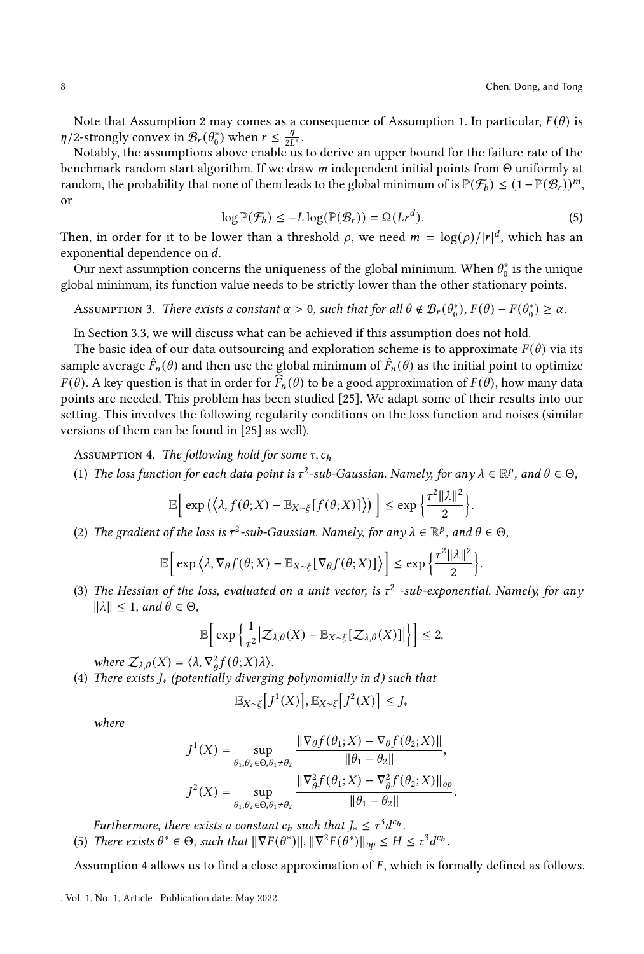Note that Assumption [2](#page-6-2) may comes as a consequence of Assumption [1.](#page-6-1) In particular,  $F(\theta)$  is  $\eta/2$ -strongly convex in  $\mathcal{B}_r(\theta_0^*)$  when  $r \leq \frac{\eta}{2l}$  $rac{\eta}{2L^*}$ .

Notably, the assumptions above enable us to derive an upper bound for the failure rate of the benchmark random start algorithm. If we draw  $m$  independent initial points from  $\Theta$  uniformly at random, the probability that none of them leads to the global minimum of is  $\mathbb{P}(\mathcal{F}_b) \leq (1 - \mathbb{P}(\mathcal{B}_r))^m$ , or

<span id="page-7-1"></span>
$$
\log \mathbb{P}(\mathcal{F}_b) \le -L \log(\mathbb{P}(\mathcal{B}_r)) = \Omega(Lr^d). \tag{5}
$$

Then, in order for it to be lower than a threshold  $\rho$ , we need  $m = \log(\rho)/|r|^d$ , which has an exponential dependence on  $d$ .

Our next assumption concerns the uniqueness of the global minimum. When  $\theta_0^*$  is the unique global minimum, its function value needs to be strictly lower than the other stationary points.

<span id="page-7-2"></span>Assumption 3. There exists a constant  $\alpha > 0$ , such that for all  $\theta \notin \mathcal{B}_r(\theta_0^*), F(\theta) - F(\theta_0^*) \geq \alpha$ .

In Section [3.3,](#page-10-1) we will discuss what can be achieved if this assumption does not hold.

The basic idea of our data outsourcing and exploration scheme is to approximate  $F(\theta)$  via its sample average  $\hat{F}_n(\theta)$  and then use the global minimum of  $\hat{F}_n(\theta)$  as the initial point to optimize  $F(\theta)$ . A key question is that in order for  $\overline{F}_n(\theta)$  to be a good approximation of  $F(\theta)$ , how many data points are needed. This problem has been studied [\[25\]](#page-16-7). We adapt some of their results into our setting. This involves the following regularity conditions on the loss function and noises (similar versions of them can be found in [\[25\]](#page-16-7) as well).

<span id="page-7-0"></span>ASSUMPTION 4. The following hold for some  $\tau$ ,  $c_h$ 

(1) The loss function for each data point is  $\tau^2$ -sub-Gaussian. Namely, for any  $\lambda \in \mathbb{R}^p$ , and  $\theta \in \Theta$ ,

$$
\mathbb{E}\bigg[\exp\big(\big\langle \lambda, f(\theta;X)-\mathbb{E}_{X\sim\xi}[f(\theta;X)]\big\rangle\big)\bigg]\leq \exp\bigg\{\frac{\tau^2||\lambda||^2}{2}\bigg\}.
$$

(2) The gradient of the loss is  $\tau^2$ -sub-Gaussian. Namely, for any  $\lambda \in \mathbb{R}^p$ , and  $\theta \in \Theta$ ,

$$
\mathbb{E}\bigg[\exp\big\langle \lambda, \nabla_{\theta} f(\theta;X) - \mathbb{E}_{X \sim \xi}[\nabla_{\theta} f(\theta;X)] \big\rangle\bigg] \leq \exp\big\{\frac{\tau^2 ||\lambda||^2}{2}\big\}.
$$

(3) The Hessian of the loss, evaluated on a unit vector, is  $\tau^2$  -sub-exponential. Namely, for any  $||\lambda|| \leq 1$ , and  $\theta \in \Theta$ ,

$$
\mathbb{E}\bigg[\exp\bigg\{\frac{1}{\tau^2}\bigg|Z_{\lambda,\theta}(X)-\mathbb{E}_{X\sim\xi}\big[Z_{\lambda,\theta}(X)\big]\bigg|\bigg\}\bigg]\leq 2,
$$

where  $\mathcal{Z}_{\lambda,\theta}(X) = \langle \lambda, \nabla^2_{\theta} f(\theta;X) \lambda \rangle$ .

(4) There exists  $J_*$  (potentially diverging polynomially in d) such that

$$
\mathbb{E}_{X \sim \xi} \left[ J^1(X) \right], \mathbb{E}_{X \sim \xi} \left[ J^2(X) \right] \le J_*
$$

where

$$
J^{1}(X) = \sup_{\theta_{1}, \theta_{2} \in \Theta, \theta_{1} \neq \theta_{2}} \frac{\|\nabla_{\theta} f(\theta_{1}; X) - \nabla_{\theta} f(\theta_{2}; X)\|}{\|\theta_{1} - \theta_{2}\|},
$$

$$
J^{2}(X) = \sup_{\theta_{1}, \theta_{2} \in \Theta, \theta_{1} \neq \theta_{2}} \frac{\|\nabla_{\theta}^{2} f(\theta_{1}; X) - \nabla_{\theta}^{2} f(\theta_{2}; X)\|_{op}}{\|\theta_{1} - \theta_{2}\|}
$$

.

Furthermore, there exists a constant  $c_h$  such that  $J_* \leq \tau^3 d^{c_h}$ . (5) There exists  $\theta^* \in \Theta$ , such that  $\|\nabla F(\theta^*)\|$ ,  $\|\nabla^2 F(\theta^*)\|_{op} \leq H \leq \tau^3 d^{c_h}$ .

Assumption [4](#page-7-0) allows us to find a close approximation of  $F$ , which is formally defined as follows.

, Vol. 1, No. 1, Article . Publication date: May 2022.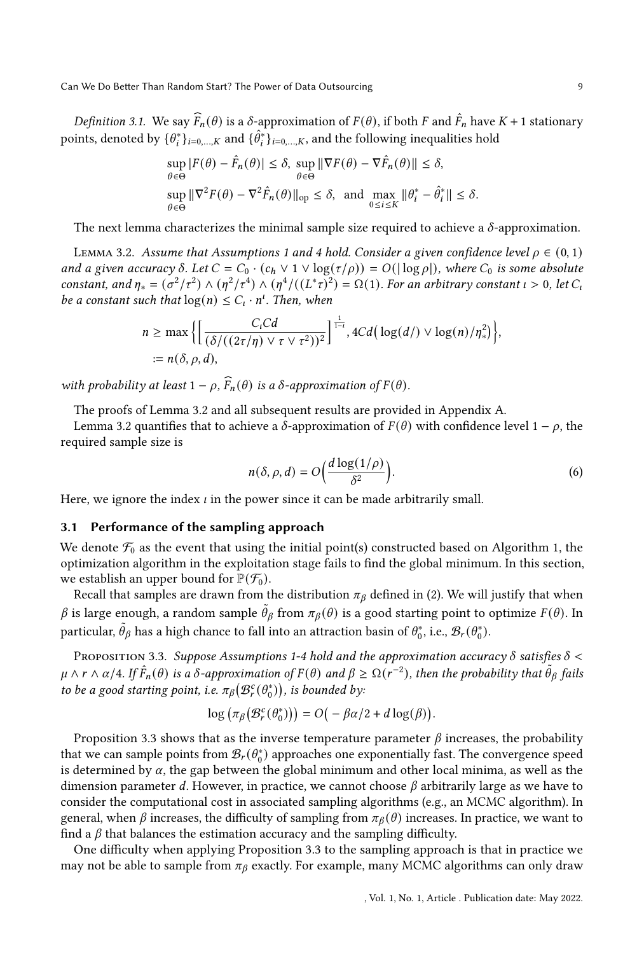Definition 3.1. We say  $\widehat{F}_n(\theta)$  is a  $\delta$ -approximation of  $F(\theta)$ , if both  $F$  and  $\widehat{F}_n$  have  $K + 1$  stationary points, denoted by  $\{\theta_i^*\}_{i=0,\dots,K}$  and  $\{\hat{\theta}_i^*\}_{i=0,\dots,K}$ , and the following inequalities hold

$$
\sup_{\theta \in \Theta} |F(\theta) - \hat{F}_n(\theta)| \le \delta, \sup_{\theta \in \Theta} \|\nabla F(\theta) - \nabla \hat{F}_n(\theta)\| \le \delta,
$$
  
\n
$$
\sup_{\theta \in \Theta} \|\nabla^2 F(\theta) - \nabla^2 \hat{F}_n(\theta)\|_{\text{op}} \le \delta, \text{ and } \max_{0 \le i \le K} \|\theta_i^* - \hat{\theta}_i^*\| \le \delta.
$$

The next lemma characterizes the minimal sample size required to achieve a  $\delta$ -approximation.

<span id="page-8-0"></span>LEMMA 3.2. Assume that Assumptions [1](#page-6-1) and [4](#page-7-0) hold. Consider a given confidence level  $\rho \in (0,1)$ and a given accuracy  $\delta$ . Let  $C = C_0 \cdot (c_h \vee 1 \vee \log(\tau/\rho)) = O(|\log \rho|)$ , where  $C_0$  is some absolute constant, and  $\eta_* = (\sigma^2/\tau^2) \wedge (\eta^2/\tau^4) \wedge (\eta^4/((L^*\tau)^2) = \Omega(1)$ . For an arbitrary constant  $\iota > 0$ , let  $C_i$ be a constant such that  $\log(n) \leq C_1 \cdot n^t$ . Then, when

$$
n \ge \max \Big\{ \Big[ \frac{C_t C d}{(\delta/((2\tau/\eta) \vee \tau \vee \tau^2))^2} \Big]^\frac{1}{1-t}, 4C d \big( \log(d/)\vee \log(n)/\eta_*^2 \big) \Big\},\
$$
  
:=  $n(\delta, \rho, d),$ 

with probability at least  $1 - \rho$ ,  $\widehat{F}_n(\theta)$  is a  $\delta$ -approximation of  $F(\theta)$ .

The proofs of Lemma [3.2](#page-8-0) and all subsequent results are provided in Appendix [A.](#page-16-14)

Lemma [3.2](#page-8-0) quantifies that to achieve a  $\delta$ -approximation of  $F(\theta)$  with confidence level 1 −  $\rho$ , the required sample size is

$$
n(\delta, \rho, d) = O\left(\frac{d \log(1/\rho)}{\delta^2}\right).
$$
 (6)

Here, we ignore the index  $\iota$  in the power since it can be made arbitrarily small.

#### 3.1 Performance of the sampling approach

We denote  $\mathcal{F}_0$  as the event that using the initial point(s) constructed based on Algorithm [1,](#page-5-0) the optimization algorithm in the exploitation stage fails to find the global minimum. In this section, we establish an upper bound for  $\mathbb{P}(\mathcal{F}_0)$ .

Recall that samples are drawn from the distribution  $\pi_\beta$  defined in [\(2\)](#page-4-1). We will justify that when  $\beta$  is large enough, a random sample  $\theta_\beta$  from  $\pi_\beta(\theta)$  is a good starting point to optimize  $F(\theta)$ . In particular,  $\tilde{\theta}_{\beta}$  has a high chance to fall into an attraction basin of  $\theta_0^*$ , i.e.,  $\mathcal{B}_r(\theta_0^*)$ .

<span id="page-8-1"></span>PROPOSITION 3.3. Suppose Assumptions [1-](#page-6-1)[4](#page-7-0) hold and the approximation accuracy  $\delta$  satisfies  $\delta$  <  $\mu \wedge r \wedge \alpha/4$ . If  $\hat{F}_n(\theta)$  is a  $\delta$ -approximation of  $F(\theta)$  and  $\beta \geq \Omega(r^{-2})$ , then the probability that  $\tilde{\theta}_{\beta}$  fails to be a good starting point, i.e.  $\pi_\beta\big(\mathcal{B}_r^c(\theta_0^*)\big)$ , is bounded by:

$$
\log \left( \pi_{\beta} \big( \mathcal{B}_{r}^{c}(\theta_{0}^{*}) \big) \right) = O \big( - \beta \alpha / 2 + d \log(\beta) \big).
$$

Proposition [3.3](#page-8-1) shows that as the inverse temperature parameter  $\beta$  increases, the probability that we can sample points from  $\mathcal{B}_r(\theta_0^*)$  approaches one exponentially fast. The convergence speed is determined by  $\alpha$ , the gap between the global minimum and other local minima, as well as the dimension parameter d. However, in practice, we cannot choose  $\beta$  arbitrarily large as we have to consider the computational cost in associated sampling algorithms (e.g., an MCMC algorithm). In general, when  $\beta$  increases, the difficulty of sampling from  $\pi_{\beta}(\theta)$  increases. In practice, we want to find a  $\beta$  that balances the estimation accuracy and the sampling difficulty.

One difficulty when applying Proposition [3.3](#page-8-1) to the sampling approach is that in practice we may not be able to sample from  $\pi_{\beta}$  exactly. For example, many MCMC algorithms can only draw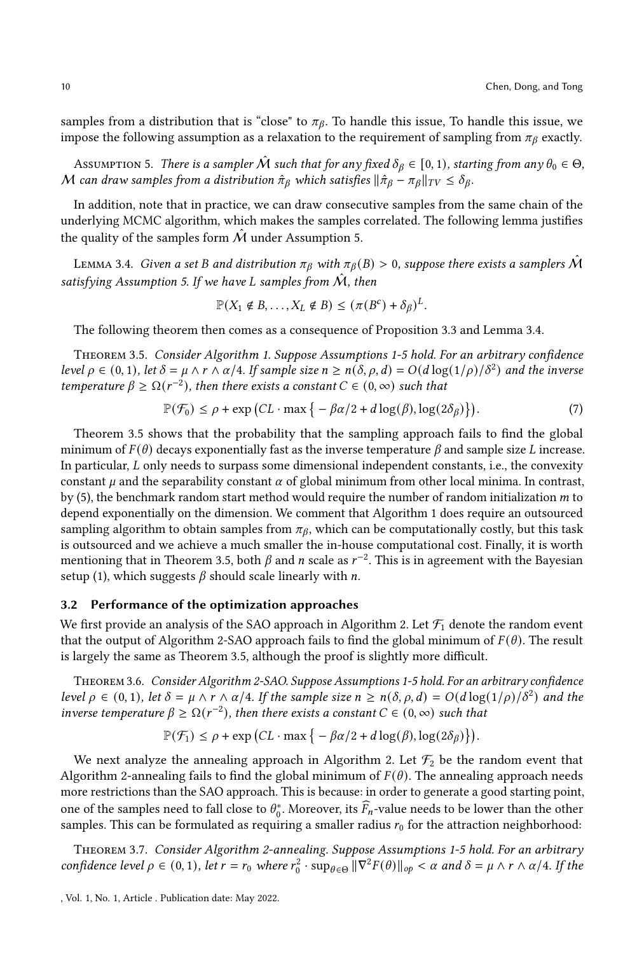samples from a distribution that is "close" to  $\pi_{\beta}$ . To handle this issue, To handle this issue, we impose the following assumption as a relaxation to the requirement of sampling from  $\pi_\beta$  exactly.

<span id="page-9-0"></span>Assumption 5. There is a sampler  $\hat{\mathcal{M}}$  such that for any fixed  $\delta_{\beta} \in [0,1)$ , starting from any  $\theta_0 \in \Theta$ , M can draw samples from a distribution  $\hat{\pi}_{\beta}$  which satisfies  $\|\hat{\pi}_{\beta} - \pi_{\beta}\|_{TV} \leq \delta_{\beta}$ .

In addition, note that in practice, we can draw consecutive samples from the same chain of the underlying MCMC algorithm, which makes the samples correlated. The following lemma justifies the quality of the samples form  $\hat{M}$  under Assumption [5.](#page-9-0)

<span id="page-9-1"></span>LEMMA 3.4. Given a set B and distribution  $\pi_\beta$  with  $\pi_\beta(B) > 0$ , suppose there exists a samplers  $\mathcal M$ satisfying Assumption [5.](#page-9-0) If we have L samples from  $\hat{\mathcal{M}}$ , then

$$
\mathbb{P}(X_1 \notin B, \dots, X_L \notin B) \leq (\pi(B^c) + \delta_B)^L.
$$

The following theorem then comes as a consequence of Proposition [3.3](#page-8-1) and Lemma [3.4.](#page-9-1)

<span id="page-9-2"></span>Theorem 3.5. Consider Algorithm [1.](#page-5-0) Suppose Assumptions [1-](#page-6-1)[5](#page-9-0) hold. For an arbitrary confidence level  $\rho \in (0,1)$ , let  $\delta = \mu \wedge r \wedge \alpha/4$ . If sample size  $n \ge n(\delta, \rho, d) = O(d \log(1/\rho)/\delta^2)$  and the inverse temperature  $\beta \geq \Omega(r^{-2})$ , then there exists a constant  $C \in (0,\infty)$  such that

$$
\mathbb{P}(\mathcal{F}_0) \le \rho + \exp\left(CL \cdot \max\left\{-\beta \alpha/2 + d\log(\beta), \log(2\delta_\beta)\right\}\right). \tag{7}
$$

Theorem [3.5](#page-9-2) shows that the probability that the sampling approach fails to find the global minimum of  $F(\theta)$  decays exponentially fast as the inverse temperature  $\beta$  and sample size L increase. In particular,  $L$  only needs to surpass some dimensional independent constants, i.e., the convexity constant  $\mu$  and the separability constant  $\alpha$  of global minimum from other local minima. In contrast, by [\(5\)](#page-7-1), the benchmark random start method would require the number of random initialization  $m$  to depend exponentially on the dimension. We comment that Algorithm [1](#page-5-0) does require an outsourced sampling algorithm to obtain samples from  $\pi_{\beta}$ , which can be computationally costly, but this task is outsourced and we achieve a much smaller the in-house computational cost. Finally, it is worth mentioning that in Theorem [3.5,](#page-9-2) both  $\beta$  and  $n$  scale as  $r^{-2}$ . This is in agreement with the Bavesian setup [\(1\)](#page-4-0), which suggests  $\beta$  should scale linearly with n.

#### 3.2 Performance of the optimization approaches

We first provide an analysis of the SAO approach in Algorithm [2.](#page-6-0) Let  $\mathcal{F}_1$  denote the random event that the output of Algorithm [2-](#page-6-0)SAO approach fails to find the global minimum of  $F(\theta)$ . The result is largely the same as Theorem [3.5,](#page-9-2) although the proof is slightly more difficult.

<span id="page-9-4"></span>Theorem 3.6. Consider Algorithm [2-](#page-6-0)SAO. Suppose Assumptions [1](#page-6-1)[-5](#page-9-0) hold. For an arbitrary confidence level  $\rho \in (0,1)$ , let  $\delta = \mu \wedge r \wedge \alpha/4$ . If the sample size  $n \ge n(\delta, \rho, d) = O(d \log(1/\rho)/\delta^2)$  and the inverse temperature  $\beta \geq \Omega(r^{-2})$ , then there exists a constant  $C \in (0, \infty)$  such that

$$
\mathbb{P}(\mathcal{F}_1) \le \rho + \exp\left(CL \cdot \max\left\{-\beta \alpha/2 + d\log(\beta), \log(2\delta_\beta)\right\}\right).
$$

We next analyze the annealing approach in Algorithm [2.](#page-6-0) Let  $\mathcal{F}_2$  be the random event that Algorithm [2-](#page-6-0)annealing fails to find the global minimum of  $F(\theta)$ . The annealing approach needs more restrictions than the SAO approach. This is because: in order to generate a good starting point, one of the samples need to fall close to  $\theta_0^*$ . Moreover, its  $\widehat{F}_n$ -value needs to be lower than the other samples. This can be formulated as requiring a smaller radius  $r_0$  for the attraction neighborhood:

<span id="page-9-3"></span>Theorem 3.7. Consider Algorithm [2-](#page-6-0)annealing. Suppose Assumptions [1-](#page-6-1)[5](#page-9-0) hold. For an arbitrary confidence level  $\rho \in (0,1)$ , let  $r = r_0$  where  $r_0^2 \cdot \sup_{\theta \in \Theta} \|\nabla^2 F(\theta)\|_{op} < \alpha$  and  $\delta = \mu \wedge r \wedge \alpha/4$ . If the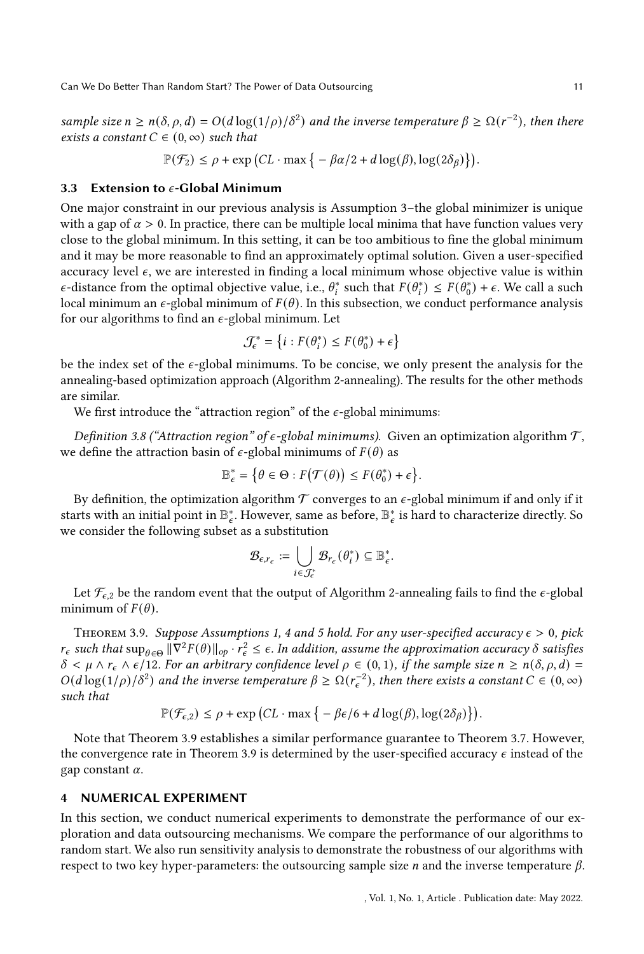sample size  $n \ge n(\delta, \rho, d) = O(d \log(1/\rho)/\delta^2)$  and the inverse temperature  $\beta \ge \Omega(r^{-2})$ , then there exists a constant  $C \in (0, \infty)$  such that

$$
\mathbb{P}(\mathcal{F}_2) \le \rho + \exp\left(CL \cdot \max\left\{-\beta \alpha/2 + d\log(\beta), \log(2\delta_\beta)\right\}\right).
$$

#### <span id="page-10-1"></span>3.3 Extension to  $\epsilon$ -Global Minimum

One major constraint in our previous analysis is Assumption [3–](#page-7-2)the global minimizer is unique with a gap of  $\alpha > 0$ . In practice, there can be multiple local minima that have function values very close to the global minimum. In this setting, it can be too ambitious to fine the global minimum and it may be more reasonable to find an approximately optimal solution. Given a user-specified accuracy level  $\epsilon$ , we are interested in finding a local minimum whose objective value is within  $\epsilon$ -distance from the optimal objective value, i.e.,  $\theta_i^*$  such that  $F(\theta_i^*) \leq F(\theta_0^*) + \epsilon$ . We call a such local minimum an  $\epsilon$ -global minimum of  $F(\theta)$ . In this subsection, we conduct performance analysis for our algorithms to find an  $\epsilon$ -global minimum. Let

$$
\mathcal{J}_{\epsilon}^* = \left\{ i : F(\theta_i^*) \le F(\theta_0^*) + \epsilon \right\}
$$

be the index set of the  $\epsilon$ -global minimums. To be concise, we only present the analysis for the annealing-based optimization approach (Algorithm [2-](#page-6-0)annealing). The results for the other methods are similar.

We first introduce the "attraction region" of the  $\epsilon$ -global minimums:

Definition 3.8 ("Attraction region" of  $\epsilon$ -global minimums). Given an optimization algorithm  $\mathcal{T}$ , we define the attraction basin of  $\epsilon$ -global minimums of  $F(\theta)$  as

$$
\mathbb{B}_{\epsilon}^* = \{ \theta \in \Theta : F(\mathcal{T}(\theta)) \leq F(\theta_0^*) + \epsilon \}.
$$

By definition, the optimization algorithm  $\mathcal T$  converges to an  $\epsilon$ -global minimum if and only if it starts with an initial point in  $\mathbb{B}_{\epsilon}^*$ . However, same as before,  $\mathbb{B}_{\epsilon}^*$  is hard to characterize directly. So we consider the following subset as a substitution

$$
\mathcal{B}_{\epsilon,r_{\epsilon}} := \bigcup_{i \in \mathcal{J}_{\epsilon}^*} \mathcal{B}_{r_{\epsilon}}(\theta_i^*) \subseteq \mathbb{B}_{\epsilon}^*.
$$

Let  $\mathcal{F}_{\epsilon,2}$  be the random event that the output of Algorithm [2-](#page-6-0)annealing fails to find the  $\epsilon$ -global minimum of  $F(\theta)$ .

<span id="page-10-2"></span>THEOREM 3.9. Suppose Assumptions [1,](#page-6-1) [4](#page-7-0) and [5](#page-9-0) hold. For any user-specified accuracy  $\epsilon > 0$ , pick  $r_{\epsilon}$  such that  $\sup_{\theta \in \Theta} \|\nabla^2 F(\theta)\|_{op} \cdot r_{\epsilon}^2 \leq \epsilon$ . In addition, assume the approximation accuracy  $\delta$  satisfies  $\delta < \mu \wedge r_{\epsilon} \wedge \epsilon/12$ . For an arbitrary confidence level  $\rho \in (0,1)$ , if the sample size  $n \ge n(\delta, \rho, d)$  =  $O(d \log(1/\rho)/\delta^2)$  and the inverse temperature  $\beta \geq \Omega(r_{\epsilon}^{-2})$ , then there exists a constant  $C \in (0,\infty)$ such that

$$
\mathbb{P}(\mathcal{F}_{\epsilon,2}) \le \rho + \exp\left(CL \cdot \max\left\{-\beta\epsilon/6 + d\log(\beta), \log(2\delta_{\beta})\right\}\right).
$$

Note that Theorem [3.9](#page-10-2) establishes a similar performance guarantee to Theorem [3.7.](#page-9-3) However, the convergence rate in Theorem [3.9](#page-10-2) is determined by the user-specified accuracy  $\epsilon$  instead of the gap constant  $\alpha$ .

## <span id="page-10-0"></span>4 NUMERICAL EXPERIMENT

In this section, we conduct numerical experiments to demonstrate the performance of our exploration and data outsourcing mechanisms. We compare the performance of our algorithms to random start. We also run sensitivity analysis to demonstrate the robustness of our algorithms with respect to two key hyper-parameters: the outsourcing sample size  $n$  and the inverse temperature  $\beta$ .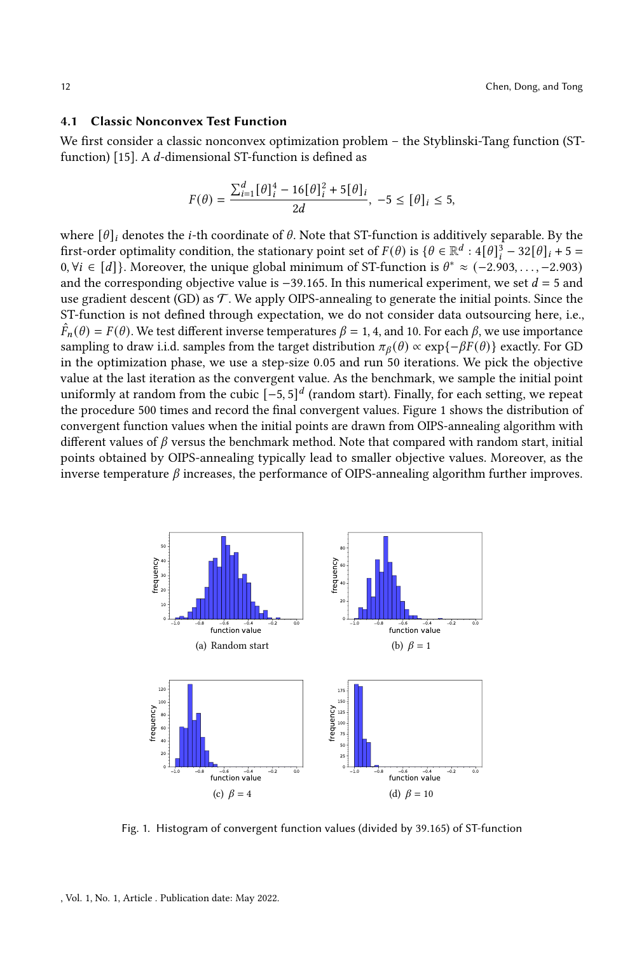## 4.1 Classic Nonconvex Test Function

We first consider a classic nonconvex optimization problem – the Styblinski-Tang function (ST-function) [\[15\]](#page-15-19). A  $d$ -dimensional ST-function is defined as

$$
F(\theta) = \frac{\sum_{i=1}^{d} [\theta]_{i}^{4} - 16[\theta]_{i}^{2} + 5[\theta]_{i}}{2d}, -5 \leq [\theta]_{i} \leq 5,
$$

where  $[\theta]_i$  denotes the *i*-th coordinate of  $\theta$ . Note that ST-function is additively separable. By the first-order optimality condition, the stationary point set of  $F(\theta)$  is  $\{\theta \in \mathbb{R}^d : 4[\theta]_i^3 - 32[\theta]_i + 5 = 0\}$ 0,  $\forall i \in [d]$ . Moreover, the unique global minimum of ST-function is  $\theta^* \approx (-2.903, \ldots, -2.903)$ and the corresponding objective value is  $-39.165$ . In this numerical experiment, we set  $d = 5$  and use gradient descent (GD) as  $\mathcal T$ . We apply OIPS-annealing to generate the initial points. Since the ST-function is not defined through expectation, we do not consider data outsourcing here, i.e.,  $\hat{F}_n(\theta) = F(\theta)$ . We test different inverse temperatures  $\beta = 1, 4$ , and 10. For each  $\beta$ , we use importance sampling to draw i.i.d. samples from the target distribution  $\pi_\beta(\theta) \propto \exp\{-\beta F(\theta)\}\)$  exactly. For GD in the optimization phase, we use a step-size 0.05 and run 50 iterations. We pick the objective value at the last iteration as the convergent value. As the benchmark, we sample the initial point uniformly at random from the cubic  $\left[-5, 5\right]^d$  (random start). Finally, for each setting, we repeat the procedure 500 times and record the final convergent values. Figure [1](#page-11-0) shows the distribution of convergent function values when the initial points are drawn from OIPS-annealing algorithm with different values of  $\beta$  versus the benchmark method. Note that compared with random start, initial points obtained by OIPS-annealing typically lead to smaller objective values. Moreover, as the inverse temperature  $\beta$  increases, the performance of OIPS-annealing algorithm further improves.

<span id="page-11-0"></span>

Fig. 1. Histogram of convergent function values (divided by 39.165) of ST-function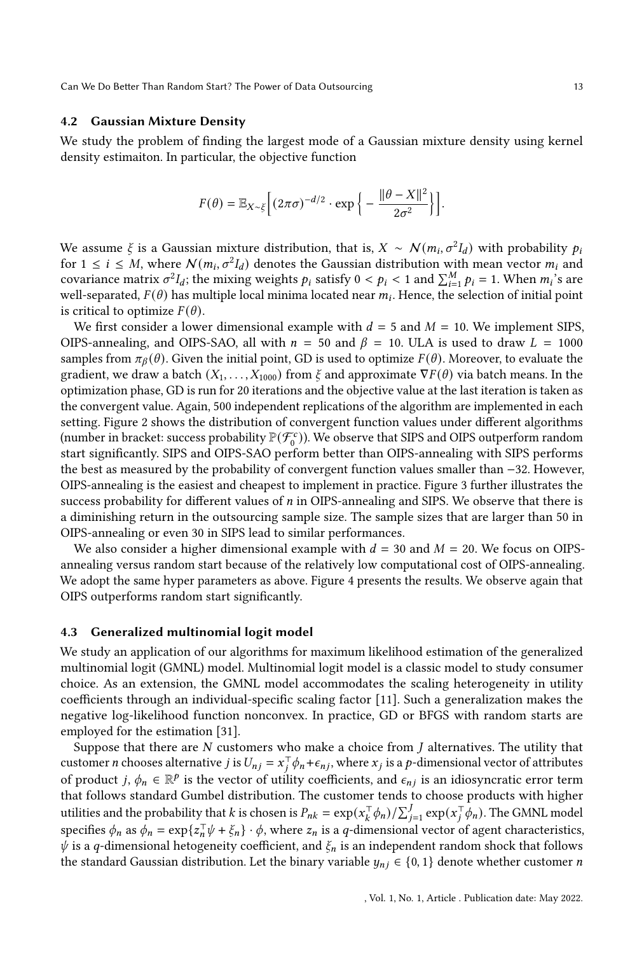## 4.2 Gaussian Mixture Density

We study the problem of finding the largest mode of a Gaussian mixture density using kernel density estimaiton. In particular, the objective function

$$
F(\theta) = \mathbb{E}_{X \sim \xi} \left[ (2\pi\sigma)^{-d/2} \cdot \exp \left\{ -\frac{\|\theta - X\|^2}{2\sigma^2} \right\} \right].
$$

We assume  $\xi$  is a Gaussian mixture distribution, that is,  $X \sim \mathcal{N}(m_i, \sigma^2 I_d)$  with probability  $p_i$ for  $1 \le i \le M$ , where  $\mathcal{N}(m_i, \sigma^2 I_d)$  denotes the Gaussian distribution with mean vector  $m_i$  and covariance matrix  $\sigma^2 I_d$ ; the mixing weights  $p_i$  satisfy  $0 < p_i < 1$  and  $\sum_{i=1}^M p_i = 1$ . When  $m_i$ 's are well-separated,  $F(\theta)$  has multiple local minima located near  $m_i$ . Hence, the selection of initial point is critical to optimize  $F(\theta)$ .

We first consider a lower dimensional example with  $d = 5$  and  $M = 10$ . We implement SIPS, OIPS-annealing, and OIPS-SAO, all with  $n = 50$  and  $\beta = 10$ . ULA is used to draw  $L = 1000$ samples from  $\pi_\beta(\theta)$ . Given the initial point, GD is used to optimize  $F(\theta)$ . Moreover, to evaluate the gradient, we draw a batch  $(X_1, \ldots, X_{1000})$  from  $\xi$  and approximate  $\nabla F(\theta)$  via batch means. In the optimization phase, GD is run for 20 iterations and the objective value at the last iteration is taken as the convergent value. Again, 500 independent replications of the algorithm are implemented in each setting. Figure [2](#page-13-0) shows the distribution of convergent function values under different algorithms (number in bracket: success probability  $\mathbb{P}(\mathcal{F}_0^c)$ ). We observe that SIPS and OIPS outperform random start significantly. SIPS and OIPS-SAO perform better than OIPS-annealing with SIPS performs the best as measured by the probability of convergent function values smaller than −32. However, OIPS-annealing is the easiest and cheapest to implement in practice. Figure [3](#page-13-1) further illustrates the success probability for different values of  $n$  in OIPS-annealing and SIPS. We observe that there is a diminishing return in the outsourcing sample size. The sample sizes that are larger than 50 in OIPS-annealing or even 30 in SIPS lead to similar performances.

We also consider a higher dimensional example with  $d = 30$  and  $M = 20$ . We focus on OIPSannealing versus random start because of the relatively low computational cost of OIPS-annealing. We adopt the same hyper parameters as above. Figure [4](#page-14-0) presents the results. We observe again that OIPS outperforms random start significantly.

#### 4.3 Generalized multinomial logit model

We study an application of our algorithms for maximum likelihood estimation of the generalized multinomial logit (GMNL) model. Multinomial logit model is a classic model to study consumer choice. As an extension, the GMNL model accommodates the scaling heterogeneity in utility coefficients through an individual-specific scaling factor [\[11\]](#page-15-20). Such a generalization makes the negative log-likelihood function nonconvex. In practice, GD or BFGS with random starts are employed for the estimation [\[31\]](#page-16-15).

Suppose that there are  $N$  customers who make a choice from  $J$  alternatives. The utility that customer *n* chooses alternative *j* is  $U_{nj} = x_j^\top \phi_n + \epsilon_{nj}$ , where  $x_j$  is a *p*-dimensional vector of attributes of product j,  $\phi_n \in \mathbb{R}^p$  is the vector of utility coefficients, and  $\epsilon_{ni}$  is an idiosyncratic error term that follows standard Gumbel distribution. The customer tends to choose products with higher utilities and the probability that  $k$  is chosen is  $P_{nk} = \exp(x_k^\top \phi_n) / \sum_{j=1}^J \exp(x_j^\top \phi_n)$ . The GMNL model specifies  $\phi_n$  as  $\phi_n = \exp\{z_n^{\top} \psi + \xi_n\} \cdot \phi$ , where  $z_n$  is a q-dimensional vector of agent characteristics,  $\psi$  is a q-dimensional hetogeneity coefficient, and  $\xi_n$  is an independent random shock that follows the standard Gaussian distribution. Let the binary variable  $y_{ni} \in \{0, 1\}$  denote whether customer *n*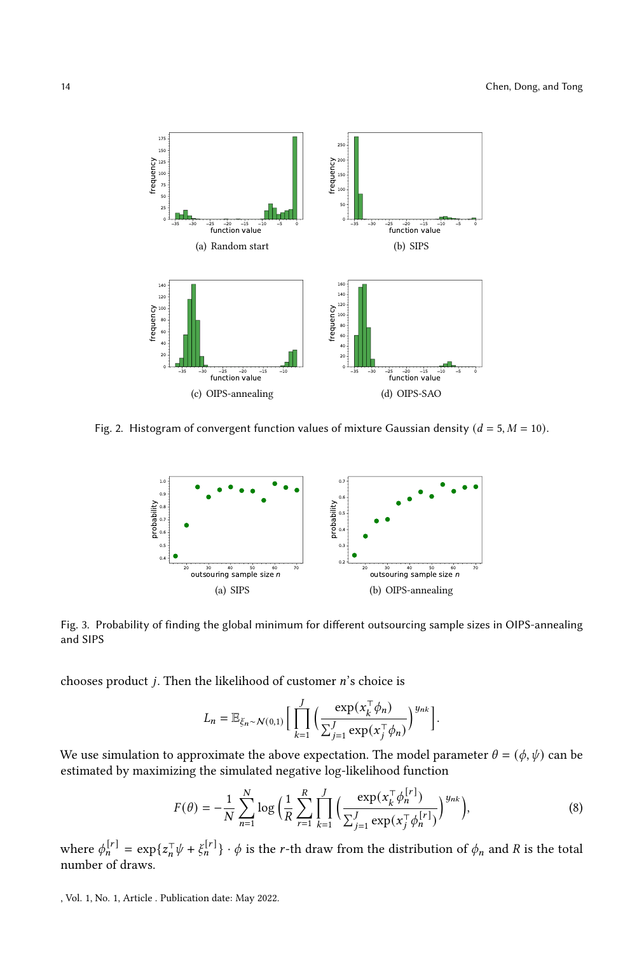<span id="page-13-0"></span>

<span id="page-13-1"></span>Fig. 2. Histogram of convergent function values of mixture Gaussian density ( $d = 5, M = 10$ ).



Fig. 3. Probability of finding the global minimum for different outsourcing sample sizes in OIPS-annealing and SIPS

chooses product  $j$ . Then the likelihood of customer  $n$ 's choice is

<span id="page-13-2"></span>
$$
L_n = \mathbb{E}_{\xi_n \sim N(0,1)} \Big[ \prod_{k=1}^J \Big( \frac{\exp(x_k^\top \phi_n)}{\sum_{j=1}^J \exp(x_j^\top \phi_n)} \Big)^{y_{nk}} \Big].
$$

We use simulation to approximate the above expectation. The model parameter  $\theta = (\phi, \psi)$  can be estimated by maximizing the simulated negative log-likelihood function

$$
F(\theta) = -\frac{1}{N} \sum_{n=1}^{N} \log \left( \frac{1}{R} \sum_{r=1}^{R} \prod_{k=1}^{J} \left( \frac{\exp(x_k^{\top} \phi_n^{[r]})}{\sum_{j=1}^{J} \exp(x_j^{\top} \phi_n^{[r]})} \right)^{y_{nk}} \right),
$$
(8)

where  $\phi_n^{[r]} = \exp\{z_n^{\top} \psi + \xi_n^{[r]}\}\cdot \phi$  is the r-th draw from the distribution of  $\phi_n$  and R is the total number of draws.

, Vol. 1, No. 1, Article . Publication date: May 2022.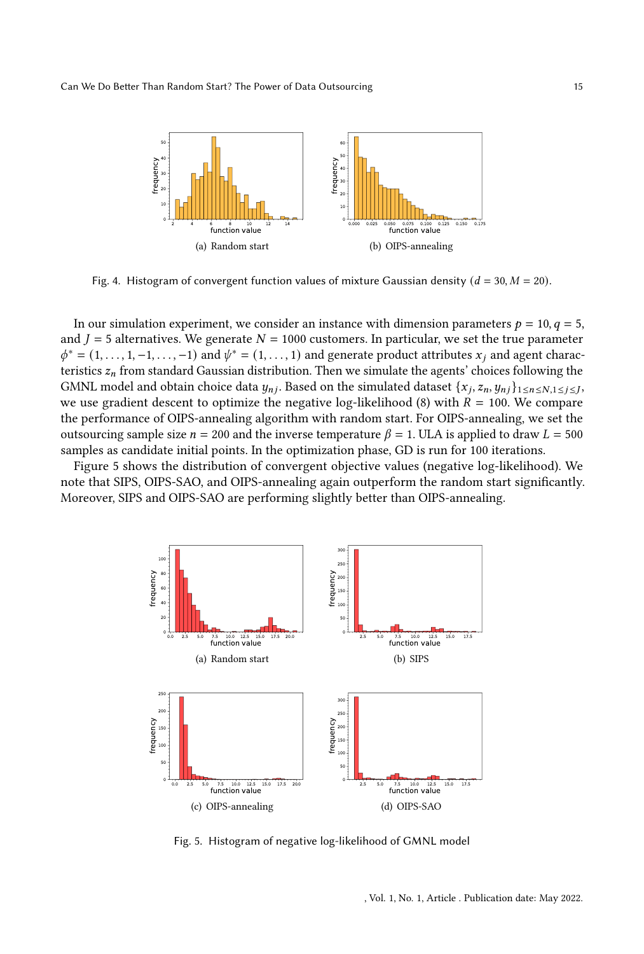<span id="page-14-0"></span>

Fig. 4. Histogram of convergent function values of mixture Gaussian density ( $d = 30, M = 20$ ).

In our simulation experiment, we consider an instance with dimension parameters  $p = 10, q = 5$ , and  $J = 5$  alternatives. We generate  $N = 1000$  customers. In particular, we set the true parameter  $\phi^* = (1, \ldots, 1, -1, \ldots, -1)$  and  $\psi^* = (1, \ldots, 1)$  and generate product attributes  $x_i$  and agent characteristics  $z_n$  from standard Gaussian distribution. Then we simulate the agents' choices following the GMNL model and obtain choice data  $y_{nj}$ . Based on the simulated dataset  $\{x_j, z_n, y_{nj}\}_{1 \leq n \leq N, 1 \leq j \leq J}$ we use gradient descent to optimize the negative log-likelihood [\(8\)](#page-13-2) with  $R = 100$ . We compare the performance of OIPS-annealing algorithm with random start. For OIPS-annealing, we set the outsourcing sample size  $n = 200$  and the inverse temperature  $\beta = 1$ . ULA is applied to draw  $L = 500$ samples as candidate initial points. In the optimization phase, GD is run for 100 iterations.

<span id="page-14-1"></span>Figure [5](#page-14-1) shows the distribution of convergent objective values (negative log-likelihood). We note that SIPS, OIPS-SAO, and OIPS-annealing again outperform the random start significantly. Moreover, SIPS and OIPS-SAO are performing slightly better than OIPS-annealing.



Fig. 5. Histogram of negative log-likelihood of GMNL model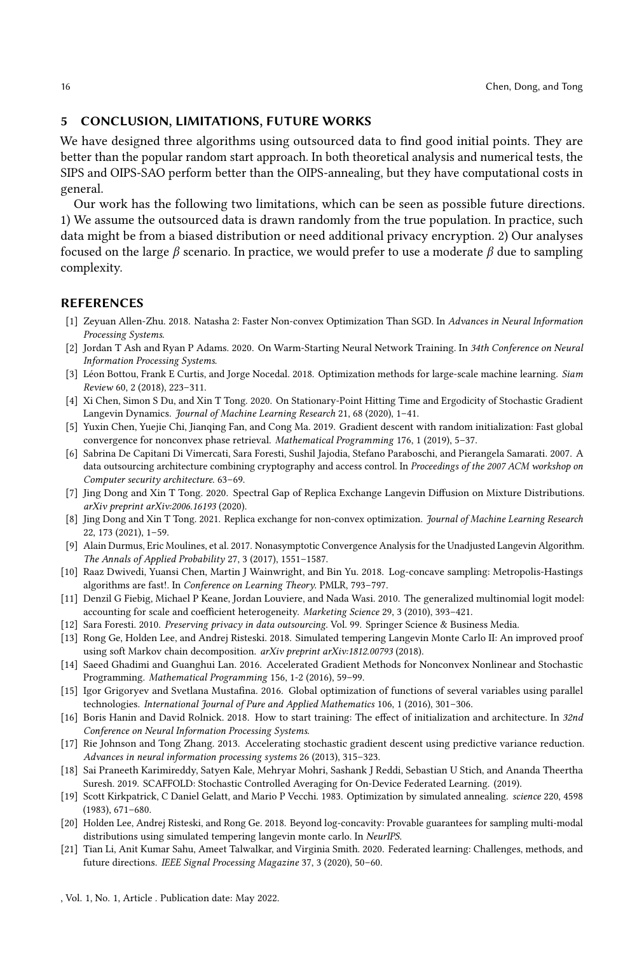## 5 CONCLUSION, LIMITATIONS, FUTURE WORKS

We have designed three algorithms using outsourced data to find good initial points. They are better than the popular random start approach. In both theoretical analysis and numerical tests, the SIPS and OIPS-SAO perform better than the OIPS-annealing, but they have computational costs in general.

Our work has the following two limitations, which can be seen as possible future directions. 1) We assume the outsourced data is drawn randomly from the true population. In practice, such data might be from a biased distribution or need additional privacy encryption. 2) Our analyses focused on the large  $\beta$  scenario. In practice, we would prefer to use a moderate  $\beta$  due to sampling complexity.

## REFERENCES

- <span id="page-15-4"></span>[1] Zeyuan Allen-Zhu. 2018. Natasha 2: Faster Non-convex Optimization Than SGD. In Advances in Neural Information Processing Systems.
- <span id="page-15-7"></span>[2] Jordan T Ash and Ryan P Adams. 2020. On Warm-Starting Neural Network Training. In 34th Conference on Neural Information Processing Systems.
- <span id="page-15-1"></span>[3] Léon Bottou, Frank E Curtis, and Jorge Nocedal. 2018. Optimization methods for large-scale machine learning. Siam Review 60, 2 (2018), 223–311.
- <span id="page-15-17"></span>[4] Xi Chen, Simon S Du, and Xin T Tong. 2020. On Stationary-Point Hitting Time and Ergodicity of Stochastic Gradient Langevin Dynamics. Journal of Machine Learning Research 21, 68 (2020), 1-41.
- <span id="page-15-6"></span>[5] Yuxin Chen, Yuejie Chi, Jianqing Fan, and Cong Ma. 2019. Gradient descent with random initialization: Fast global convergence for nonconvex phase retrieval. Mathematical Programming 176, 1 (2019), 5–37.
- <span id="page-15-2"></span>[6] Sabrina De Capitani Di Vimercati, Sara Foresti, Sushil Jajodia, Stefano Paraboschi, and Pierangela Samarati. 2007. A data outsourcing architecture combining cryptography and access control. In Proceedings of the 2007 ACM workshop on Computer security architecture. 63–69.
- <span id="page-15-14"></span>[7] Jing Dong and Xin T Tong. 2020. Spectral Gap of Replica Exchange Langevin Diffusion on Mixture Distributions. arXiv preprint arXiv:2006.16193 (2020).
- <span id="page-15-18"></span>[8] Jing Dong and Xin T Tong. 2021. Replica exchange for non-convex optimization. Journal of Machine Learning Research 22, 173 (2021), 1–59.
- <span id="page-15-12"></span>[9] Alain Durmus, Eric Moulines, et al. 2017. Nonasymptotic Convergence Analysis for the Unadjusted Langevin Algorithm. The Annals of Applied Probability 27, 3 (2017), 1551–1587.
- <span id="page-15-13"></span>[10] Raaz Dwivedi, Yuansi Chen, Martin J Wainwright, and Bin Yu. 2018. Log-concave sampling: Metropolis-Hastings algorithms are fast!. In Conference on Learning Theory. PMLR, 793–797.
- <span id="page-15-20"></span>[11] Denzil G Fiebig, Michael P Keane, Jordan Louviere, and Nada Wasi. 2010. The generalized multinomial logit model: accounting for scale and coefficient heterogeneity. Marketing Science 29, 3 (2010), 393–421.
- <span id="page-15-3"></span>[12] Sara Foresti. 2010. Preserving privacy in data outsourcing. Vol. 99. Springer Science & Business Media.
- <span id="page-15-15"></span>[13] Rong Ge, Holden Lee, and Andrej Risteski. 2018. Simulated tempering Langevin Monte Carlo II: An improved proof using soft Markov chain decomposition. arXiv preprint arXiv:1812.00793 (2018).
- <span id="page-15-5"></span>[14] Saeed Ghadimi and Guanghui Lan. 2016. Accelerated Gradient Methods for Nonconvex Nonlinear and Stochastic Programming. Mathematical Programming 156, 1-2 (2016), 59–99.
- <span id="page-15-19"></span>[15] Igor Grigoryev and Svetlana Mustafina. 2016. Global optimization of functions of several variables using parallel technologies. International Journal of Pure and Applied Mathematics 106, 1 (2016), 301–306.
- <span id="page-15-8"></span>[16] Boris Hanin and David Rolnick. 2018. How to start training: The effect of initialization and architecture. In 32nd Conference on Neural Information Processing Systems.
- <span id="page-15-0"></span>[17] Rie Johnson and Tong Zhang. 2013. Accelerating stochastic gradient descent using predictive variance reduction. Advances in neural information processing systems 26 (2013), 315–323.
- <span id="page-15-10"></span>[18] Sai Praneeth Karimireddy, Satyen Kale, Mehryar Mohri, Sashank J Reddi, Sebastian U Stich, and Ananda Theertha Suresh. 2019. SCAFFOLD: Stochastic Controlled Averaging for On-Device Federated Learning. (2019).
- <span id="page-15-11"></span>[19] Scott Kirkpatrick, C Daniel Gelatt, and Mario P Vecchi. 1983. Optimization by simulated annealing. science 220, 4598 (1983), 671–680.
- <span id="page-15-16"></span>[20] Holden Lee, Andrej Risteski, and Rong Ge. 2018. Beyond log-concavity: Provable guarantees for sampling multi-modal distributions using simulated tempering langevin monte carlo. In NeurIPS.
- <span id="page-15-9"></span>[21] Tian Li, Anit Kumar Sahu, Ameet Talwalkar, and Virginia Smith. 2020. Federated learning: Challenges, methods, and future directions. IEEE Signal Processing Magazine 37, 3 (2020), 50–60.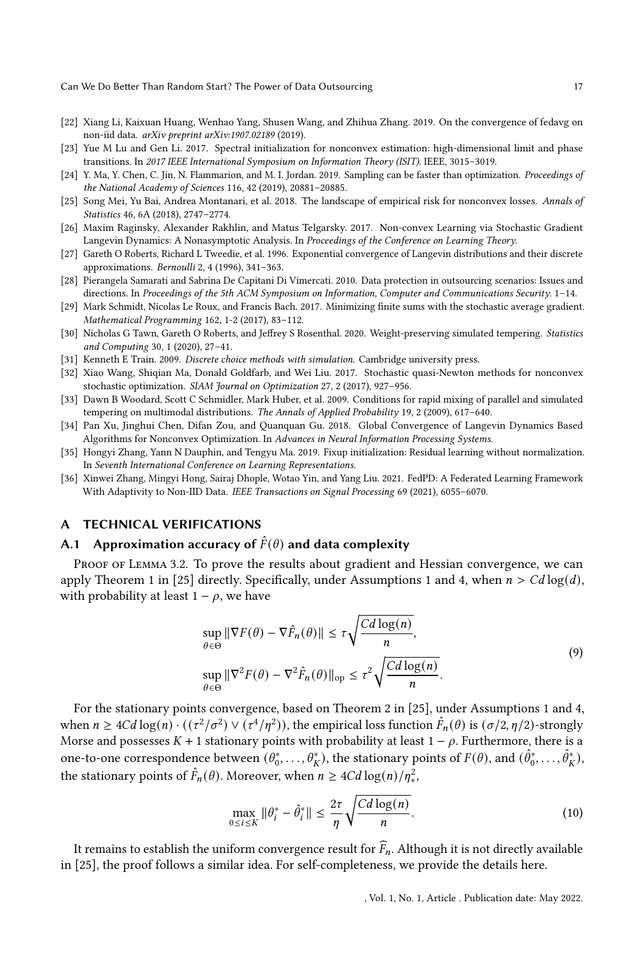- <span id="page-16-5"></span>[22] Xiang Li, Kaixuan Huang, Wenhao Yang, Shusen Wang, and Zhihua Zhang. 2019. On the convergence of fedavg on non-iid data. arXiv preprint arXiv:1907.02189 (2019).
- <span id="page-16-4"></span>[23] Yue M Lu and Gen Li. 2017. Spectral initialization for nonconvex estimation: high-dimensional limit and phase transitions. In 2017 IEEE International Symposium on Information Theory (ISIT). IEEE, 3015–3019.
- <span id="page-16-10"></span>[24] Y. Ma, Y. Chen, C. Jin, N. Flammarion, and M. I. Jordan. 2019. Sampling can be faster than optimization. Proceedings of the National Academy of Sciences 116, 42 (2019), 20881–20885.
- <span id="page-16-7"></span>[25] Song Mei, Yu Bai, Andrea Montanari, et al. 2018. The landscape of empirical risk for nonconvex losses. Annals of Statistics 46, 6A (2018), 2747–2774.
- <span id="page-16-13"></span>[26] Maxim Raginsky, Alexander Rakhlin, and Matus Telgarsky. 2017. Non-convex Learning via Stochastic Gradient Langevin Dynamics: A Nonasymptotic Analysis. In Proceedings of the Conference on Learning Theory.
- <span id="page-16-9"></span>[27] Gareth O Roberts, Richard L Tweedie, et al. 1996. Exponential convergence of Langevin distributions and their discrete approximations. Bernoulli 2, 4 (1996), 341–363.
- <span id="page-16-1"></span>[28] Pierangela Samarati and Sabrina De Capitani Di Vimercati. 2010. Data protection in outsourcing scenarios: Issues and directions. In Proceedings of the 5th ACM Symposium on Information, Computer and Communications Security. 1–14.
- <span id="page-16-0"></span>[29] Mark Schmidt, Nicolas Le Roux, and Francis Bach. 2017. Minimizing finite sums with the stochastic average gradient. Mathematical Programming 162, 1-2 (2017), 83–112.
- <span id="page-16-11"></span>[30] Nicholas G Tawn, Gareth O Roberts, and Jeffrey S Rosenthal. 2020. Weight-preserving simulated tempering. Statistics and Computing 30, 1 (2020), 27–41.
- <span id="page-16-15"></span>[31] Kenneth E Train. 2009. Discrete choice methods with simulation. Cambridge university press.
- <span id="page-16-2"></span>[32] Xiao Wang, Shiqian Ma, Donald Goldfarb, and Wei Liu. 2017. Stochastic quasi-Newton methods for nonconvex stochastic optimization. SIAM Journal on Optimization 27, 2 (2017), 927–956.
- <span id="page-16-12"></span>[33] Dawn B Woodard, Scott C Schmidler, Mark Huber, et al. 2009. Conditions for rapid mixing of parallel and simulated tempering on multimodal distributions. The Annals of Applied Probability 19, 2 (2009), 617–640.
- <span id="page-16-8"></span>[34] Pan Xu, Jinghui Chen, Difan Zou, and Quanquan Gu. 2018. Global Convergence of Langevin Dynamics Based Algorithms for Nonconvex Optimization. In Advances in Neural Information Processing Systems.
- <span id="page-16-3"></span>[35] Hongyi Zhang, Yann N Dauphin, and Tengyu Ma. 2019. Fixup initialization: Residual learning without normalization. In Seventh International Conference on Learning Representations.
- <span id="page-16-6"></span>[36] Xinwei Zhang, Mingyi Hong, Sairaj Dhople, Wotao Yin, and Yang Liu. 2021. FedPD: A Federated Learning Framework With Adaptivity to Non-IID Data. IEEE Transactions on Signal Processing 69 (2021), 6055–6070.

#### <span id="page-16-14"></span>**TECHNICAL VERIFICATIONS**

# A.1 Approximation accuracy of  $\hat{F}(\theta)$  and data complexity

PROOF OF LEMMA [3.2.](#page-8-0) To prove the results about gradient and Hessian convergence, we can apply Theorem 1 in [\[25\]](#page-16-7) directly. Specifically, under Assumptions [1](#page-6-1) and [4,](#page-7-0) when  $n > Cd \log(d)$ , with probability at least  $1 - \rho$ , we have

$$
\sup_{\theta \in \Theta} \|\nabla F(\theta) - \nabla \hat{F}_n(\theta)\| \le \tau \sqrt{\frac{Cd \log(n)}{n}},
$$
  
\n
$$
\sup_{\theta \in \Theta} \|\nabla^2 F(\theta) - \nabla^2 \hat{F}_n(\theta)\|_{\text{op}} \le \tau^2 \sqrt{\frac{Cd \log(n)}{n}}.
$$
\n(9)

For the stationary points convergence, based on Theorem 2 in [\[25\]](#page-16-7), under Assumptions [1](#page-6-1) and [4,](#page-7-0) when  $n \geq 4Cd \log(n) \cdot ((\tau^2/\sigma^2) \vee (\tau^4/\eta^2))$ , the empirical loss function  $\hat{F}_n(\theta)$  is  $(\sigma/2, \eta/2)$ -strongly Morse and possesses  $K + 1$  stationary points with probability at least  $1 - \rho$ . Furthermore, there is a one-to-one correspondence between  $(\theta_0^*, \ldots, \theta_K^*)$ , the stationary points of  $F(\theta)$ , and  $(\hat{\theta}_0^*, \ldots, \hat{\theta}_K^*)$ , the stationary points of  $\hat{F}_n(\theta)$ . Moreover, when  $n \geq 4Cd \log(n)/n_*^2$ ,

$$
\max_{0 \le i \le K} \|\theta_i^* - \hat{\theta}_i^*\| \le \frac{2\tau}{\eta} \sqrt{\frac{Cd\log(n)}{n}}.
$$
\n(10)

It remains to establish the uniform convergence result for  $\widehat{F}_n$ . Although it is not directly available in [\[25\]](#page-16-7), the proof follows a similar idea. For self-completeness, we provide the details here.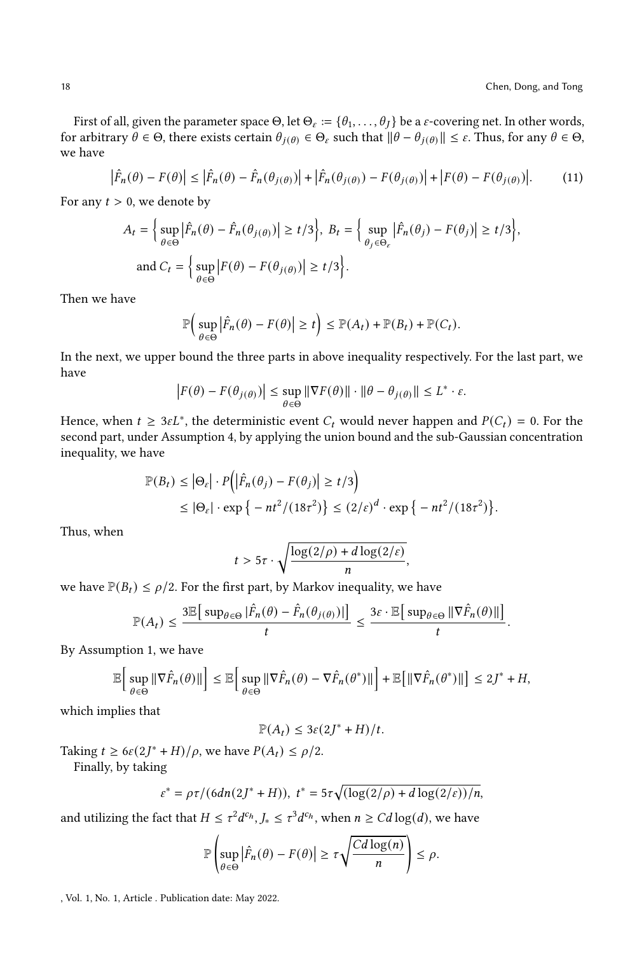First of all, given the parameter space  $\Theta$ , let  $\Theta_{\varepsilon} := \{\theta_1, \ldots, \theta_J\}$  be a  $\varepsilon$ -covering net. In other words, for arbitrary  $\theta \in \Theta$ , there exists certain  $\theta_{i(\theta)} \in \Theta_{\varepsilon}$  such that  $\|\theta - \theta_{i(\theta)}\| \leq \varepsilon$ . Thus, for any  $\theta \in \Theta$ , we have

$$
\left|\hat{F}_n(\theta) - F(\theta)\right| \le \left|\hat{F}_n(\theta) - \hat{F}_n(\theta_{j(\theta)})\right| + \left|\hat{F}_n(\theta_{j(\theta)}) - F(\theta_{j(\theta)})\right| + \left|F(\theta) - F(\theta_{j(\theta)})\right|.
$$
 (11)

For any  $t > 0$ , we denote by

$$
A_t = \left\{ \sup_{\theta \in \Theta} \left| \hat{F}_n(\theta) - \hat{F}_n(\theta_{j(\theta)}) \right| \ge t/3 \right\}, \ B_t = \left\{ \sup_{\theta_j \in \Theta_{\varepsilon}} \left| \hat{F}_n(\theta_j) - F(\theta_j) \right| \ge t/3 \right\},\
$$
  
and  $C_t = \left\{ \sup_{\theta \in \Theta} \left| F(\theta) - F(\theta_{j(\theta)}) \right| \ge t/3 \right\}.$ 

Then we have

$$
\mathbb{P}\Big(\sup_{\theta\in\Theta}\big|\hat{F}_n(\theta)-F(\theta)\big|\geq t\Big)\leq \mathbb{P}(A_t)+\mathbb{P}(B_t)+\mathbb{P}(C_t).
$$

In the next, we upper bound the three parts in above inequality respectively. For the last part, we have

$$
\left| F(\theta) - F(\theta_{j(\theta)}) \right| \leq \sup_{\theta \in \Theta} \left\| \nabla F(\theta) \right\| \cdot \left\| \theta - \theta_{j(\theta)} \right\| \leq L^* \cdot \varepsilon.
$$

Hence, when  $t \geq 3\varepsilon L^*$ , the deterministic event  $C_t$  would never happen and  $P(C_t) = 0$ . For the second part, under Assumption [4,](#page-7-0) by applying the union bound and the sub-Gaussian concentration inequality, we have

$$
\mathbb{P}(B_t) \le |\Theta_{\varepsilon}| \cdot P(|\hat{F}_n(\theta_j) - F(\theta_j)| \ge t/3) \le |\Theta_{\varepsilon}| \cdot \exp\{-nt^2/(18\tau^2)\} \le (2/\varepsilon)^d \cdot \exp\{-nt^2/(18\tau^2)\}.
$$

Thus, when

$$
t > 5\tau \cdot \sqrt{\frac{\log(2/\rho) + d\log(2/\varepsilon)}{n}},
$$

we have  $\mathbb{P}(B_t) \leq \rho/2$ . For the first part, by Markov inequality, we have

$$
\mathbb{P}(A_t) \leq \frac{3\mathbb{E}\left[\sup_{\theta \in \Theta} |\hat{F}_n(\theta) - \hat{F}_n(\theta_{j(\theta)})| \right]}{t} \leq \frac{3\varepsilon \cdot \mathbb{E}\left[\sup_{\theta \in \Theta} \|\nabla \hat{F}_n(\theta)\|\right]}{t}.
$$

By Assumption [1,](#page-6-1) we have

$$
\mathbb{E}\bigg[\sup_{\theta\in\Theta} \|\nabla \hat{F}_n(\theta)\|\bigg] \leq \mathbb{E}\bigg[\sup_{\theta\in\Theta} \|\nabla \hat{F}_n(\theta) - \nabla \hat{F}_n(\theta^*)\|\bigg] + \mathbb{E}\big[\|\nabla \hat{F}_n(\theta^*)\|\big] \leq 2J^* + H,
$$

which implies that

$$
\mathbb{P}(A_t) \leq 3\varepsilon (2J^* + H)/t.
$$

Taking  $t \ge 6\varepsilon (2J^* + H)/\rho$ , we have  $P(A_t) \le \rho/2$ .

Finally, by taking

$$
\varepsilon^* = \rho \tau / (6dn(2J^* + H)), t^* = 5\tau \sqrt{(\log(2/\rho) + d\log(2/\varepsilon))/n},
$$

and utilizing the fact that  $H \leq \tau^2 d^{c_h}, J_* \leq \tau^3 d^{c_h}$ , when  $n \geq C d \log(d)$ , we have

$$
\mathbb{P}\left(\sup_{\theta\in\Theta}\left|\hat{F}_n(\theta)-F(\theta)\right|\geq \tau\sqrt{\frac{Cd\log(n)}{n}}\right)\leq \rho.
$$

, Vol. 1, No. 1, Article . Publication date: May 2022.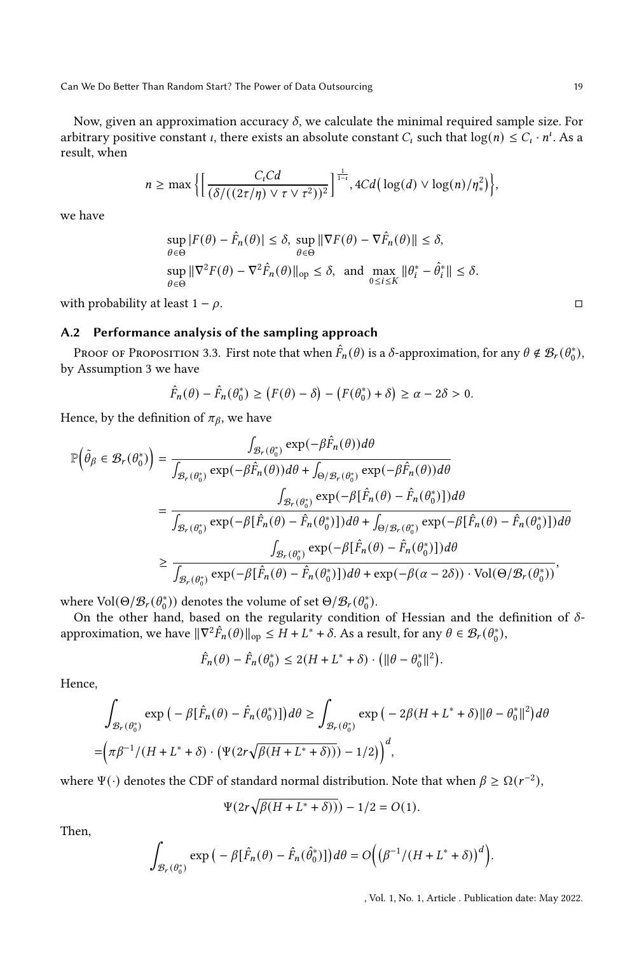Now, given an approximation accuracy  $\delta$ , we calculate the minimal required sample size. For arbitrary positive constant *i*, there exists an absolute constant  $C_i$  such that  $\log(n) \leq C_i \cdot n^i$ . As a result, when

$$
n \geq \max \bigg\{ \bigg[ \frac{C_t C d}{(\delta/((2\tau/\eta) \vee \tau \vee \tau^2))^2} \bigg]^\frac{1}{1-t}, 4C d \big( \log(d) \vee \log(n)/\eta_*^2 \big) \bigg\},
$$

we have

$$
\sup_{\theta \in \Theta} |F(\theta) - \hat{F}_n(\theta)| \le \delta, \sup_{\theta \in \Theta} \|\nabla F(\theta) - \nabla \hat{F}_n(\theta)\| \le \delta,
$$
  
\n
$$
\sup_{\theta \in \Theta} \|\nabla^2 F(\theta) - \nabla^2 \hat{F}_n(\theta)\|_{\text{op}} \le \delta, \text{ and } \max_{0 \le i \le K} \|\theta_i^* - \hat{\theta}_i^*\| \le \delta.
$$

with probability at least  $1 - \rho$ .  $\Box$ 

# A.2 Performance analysis of the sampling approach

Proof of Proposition [3.3.](#page-8-1) First note that when  $\hat{F}_n(\theta)$  is a  $\delta$ -approximation, for any  $\theta \notin \mathcal{B}_r(\theta_0^*),$ by Assumption [3](#page-7-2) we have

$$
\hat{F}_n(\theta) - \hat{F}_n(\theta_0^*) \ge (F(\theta) - \delta) - (F(\theta_0^*) + \delta) \ge \alpha - 2\delta > 0.
$$

Hence, by the definition of  $\pi_{\beta}$ , we have

$$
\mathbb{P}\left(\tilde{\theta}_{\beta} \in \mathcal{B}_{r}(\theta_{0}^{*})\right) = \frac{\int_{\mathcal{B}_{r}(\theta_{0}^{*})} \exp(-\beta \hat{F}_{n}(\theta)) d\theta}{\int_{\mathcal{B}_{r}(\theta_{0}^{*})} \exp(-\beta \hat{F}_{n}(\theta)) d\theta + \int_{\Theta/\mathcal{B}_{r}(\theta_{0}^{*})} \exp(-\beta \hat{F}_{n}(\theta)) d\theta}
$$
\n
$$
= \frac{\int_{\mathcal{B}_{r}(\theta_{0}^{*})} \exp(-\beta [\hat{F}_{n}(\theta) - \hat{F}_{n}(\theta_{0}^{*})]) d\theta}{\int_{\mathcal{B}_{r}(\theta_{0}^{*})} \exp(-\beta [\hat{F}_{n}(\theta) - \hat{F}_{n}(\theta_{0}^{*})]) d\theta + \int_{\Theta/\mathcal{B}_{r}(\theta_{0}^{*})} \exp(-\beta [\hat{F}_{n}(\theta) - \hat{F}_{n}(\theta_{0}^{*})]) d\theta}
$$
\n
$$
\geq \frac{\int_{\mathcal{B}_{r}(\theta_{0}^{*})} \exp(-\beta [\hat{F}_{n}(\theta) - \hat{F}_{n}(\theta_{0}^{*})]) d\theta}{\int_{\mathcal{B}_{r}(\theta_{0}^{*})} \exp(-\beta [\hat{F}_{n}(\theta) - \hat{F}_{n}(\theta_{0}^{*})]) d\theta + \exp(-\beta(\alpha - 2\delta)) \cdot \text{Vol}(\Theta/\mathcal{B}_{r}(\theta_{0}^{*}))},
$$

where  $\text{Vol}(\Theta/\mathcal{B}_r(\theta_0^*))$  denotes the volume of set  $\Theta/\mathcal{B}_r(\theta_0^*)$ .

On the other hand, based on the regularity condition of Hessian and the definition of  $\delta$ approximation, we have  $\|\nabla^2 \hat{F}_n(\theta)\|_{\text{op}} \leq H + L^* + \delta$ . As a result, for any  $\theta \in \mathcal{B}_r(\theta_0^*)$ ,

$$
\hat{F}_n(\theta) - \hat{F}_n(\theta_0^*) \le 2(H + L^* + \delta) \cdot \left( ||\theta - \theta_0^*||^2 \right).
$$

Hence,

$$
\int_{\mathcal{B}_r(\theta_0^*)} \exp\left(-\beta[\hat{F}_n(\theta) - \hat{F}_n(\theta_0^*)]\right) d\theta \ge \int_{\mathcal{B}_r(\theta_0^*)} \exp\left(-2\beta(H + L^* + \delta)\|\theta - \theta_0^*\|^2\right) d\theta
$$
\n
$$
= \left(\pi \beta^{-1} / (H + L^* + \delta) \cdot \left(\Psi(2r\sqrt{\beta(H + L^* + \delta)}\right) - 1/2\right)^d,
$$

where  $\Psi(\cdot)$  denotes the CDF of standard normal distribution. Note that when  $\beta \ge \Omega(r^{-2})$ ,

$$
\Psi(2r\sqrt{\beta(H+L^*+\delta))}) - 1/2 = O(1).
$$

Then,

$$
\int_{\mathcal{B}_r(\theta_0^*)}\exp\big(-\beta[\hat{F}_n(\theta)-\hat{F}_n(\hat{\theta}_0^*)]\big)d\theta=O\Big(\big(\beta^{-1}/(H+L^*+\delta)\big)^d\Big).
$$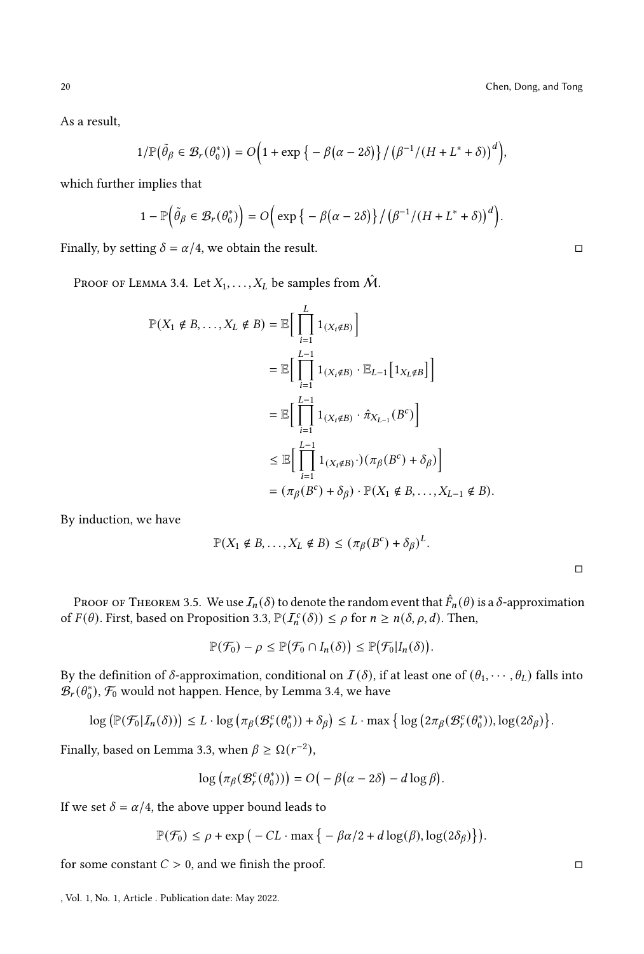As a result,

$$
1/\mathbb{P}\big(\tilde{\theta}_{\beta} \in \mathcal{B}_r(\theta_0^*)\big) = O\Big(1+\exp\big\{-\beta\big(\alpha-2\delta\big)\big\}\big/\big(\beta^{-1}/\big(H+L^*+\delta\big)\big)^d\Big),\,
$$

which further implies that

$$
1 - \mathbb{P}\left(\tilde{\theta}_{\beta} \in \mathcal{B}_r(\theta_0^*)\right) = O\left(\exp\left\{-\beta(\alpha - 2\delta)\right\}/\left(\beta^{-1}/\left(H + L^* + \delta\right)\right)^d\right).
$$

Finally, by setting  $\delta = \alpha/4$ , we obtain the result.

Proof of Lemma [3.4.](#page-9-1) Let  $X_1, \ldots, X_L$  be samples from  $\hat{\mathcal{M}}$ .

$$
\mathbb{P}(X_1 \notin B, \dots, X_L \notin B) = \mathbb{E}\Big[\prod_{i=1}^L 1_{(X_i \notin B)}\Big]
$$
  
\n
$$
= \mathbb{E}\Big[\prod_{i=1}^{L-1} 1_{(X_i \notin B)} \cdot \mathbb{E}_{L-1}\Big[1_{X_L \notin B}\Big]\Big]
$$
  
\n
$$
= \mathbb{E}\Big[\prod_{i=1}^{L-1} 1_{(X_i \notin B)} \cdot \hat{\pi}_{X_{L-1}}(B^c)\Big]
$$
  
\n
$$
\leq \mathbb{E}\Big[\prod_{i=1}^{L-1} 1_{(X_i \notin B)} \cdot)(\pi_{\beta}(B^c) + \delta_{\beta})\Big]
$$
  
\n
$$
= (\pi_{\beta}(B^c) + \delta_{\beta}) \cdot \mathbb{P}(X_1 \notin B, \dots, X_{L-1} \notin B).
$$

By induction, we have

$$
\mathbb{P}(X_1 \notin B, \dots, X_L \notin B) \leq (\pi_{\beta}(B^c) + \delta_{\beta})^L.
$$

Proof of Theorem [3.5.](#page-9-2) We use  $I_n(\delta)$  to denote the random event that  $\hat{F}_n(\theta)$  is a  $\delta$ -approximation of  $F(\theta)$ . First, based on Proposition [3.3,](#page-8-1)  $\mathbb{P}(I_n^c(\delta)) \leq \rho$  for  $n \geq n(\delta, \rho, d)$ . Then,

$$
\mathbb{P}(\mathcal{F}_0) - \rho \leq \mathbb{P}(\mathcal{F}_0 \cap I_n(\delta)) \leq \mathbb{P}(\mathcal{F}_0 | I_n(\delta)).
$$

By the definition of  $\delta$ -approximation, conditional on  $\mathcal{I}(\delta)$ , if at least one of  $(\theta_1, \dots, \theta_L)$  falls into  $\mathcal{B}_{r}(\theta_0^*), \mathcal{F}_0$  would not happen. Hence, by Lemma [3.4,](#page-9-1) we have

$$
\log \left( \mathbb{P}(\mathcal{F}_0 | I_n(\delta)) \right) \leq L \cdot \log \left( \pi_\beta(\mathcal{B}_r^c(\theta_0^*)) + \delta_\beta \right) \leq L \cdot \max \left\{ \log \left( 2 \pi_\beta(\mathcal{B}_r^c(\theta_0^*)), \log(2\delta_\beta) \right\} \right\}
$$

Finally, based on Lemma [3.3,](#page-8-1) when  $\beta \ge \Omega(r^{-2})$ ,

$$
\log\left(\pi_{\beta}(\mathcal{B}_r^c(\theta_0^*))\right)=O\big(-\beta(\alpha-2\delta)-d\log\beta\big).
$$

If we set  $\delta = \alpha/4$ , the above upper bound leads to

$$
\mathbb{P}(\mathcal{F}_0) \le \rho + \exp\big(-CL \cdot \max\big\{-\beta\alpha/2 + d\log(\beta), \log(2\delta_\beta)\big\}\big).
$$

for some constant  $C > 0$ , and we finish the proof. □

□

<sup>,</sup> Vol. 1, No. 1, Article . Publication date: May 2022.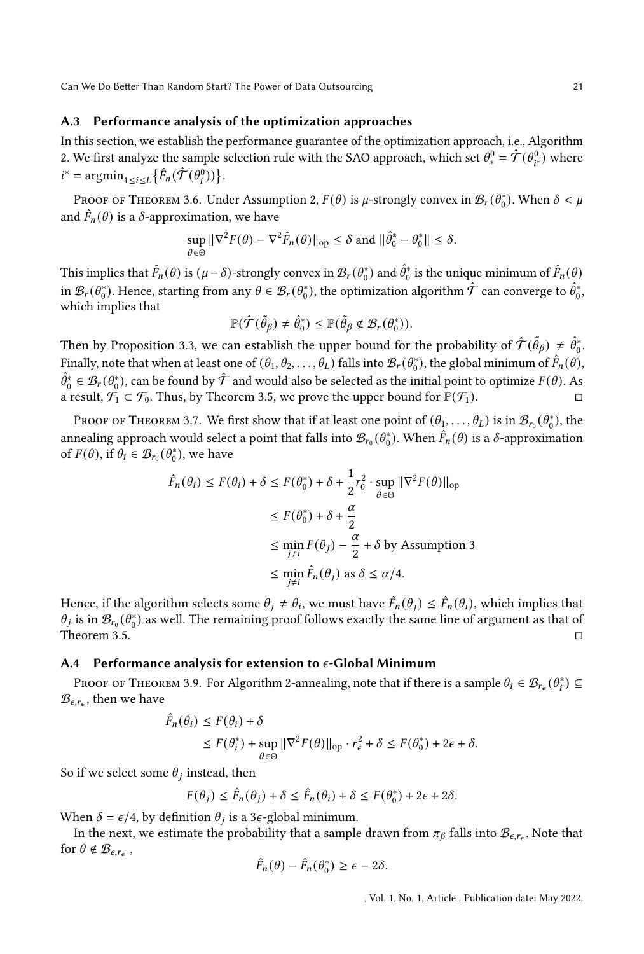## A.3 Performance analysis of the optimization approaches

In this section, we establish the performance guarantee of the optimization approach, i.e., Algorithm [2.](#page-6-0) We first analyze the sample selection rule with the SAO approach, which set  $\theta_*^0 = \hat{\mathcal{T}}(\theta_{i^*}^0)$  where  $i^* = \operatorname{argmin}_{1 \le i \le L} \left\{ \hat{F}_n(\hat{\mathcal{T}}(\theta_i^0)) \right\}.$ 

Proof of Theorem [3.6.](#page-9-4) Under Assumption [2,](#page-6-2)  $F(\theta)$  is  $\mu$ -strongly convex in  $\mathcal{B}_r(\theta_0^*)$ . When  $\delta < \mu$ and  $\hat{F}_n(\theta)$  is a  $\delta$ -approximation, we have

$$
\sup_{\theta \in \Theta} \|\nabla^2 F(\theta) - \nabla^2 \hat{F}_n(\theta)\|_{\text{op}} \le \delta \text{ and } \|\hat{\theta}_0^* - \theta_0^*\| \le \delta.
$$

This implies that  $\hat{F}_n(\theta)$  is  $(\mu - \delta)$ -strongly convex in  $\mathcal{B}_r(\theta_0^*)$  and  $\hat{\theta}_0^*$  is the unique minimum of  $\hat{F}_n(\theta)$ in  $\mathcal{B}_r(\theta_0^*)$ . Hence, starting from any  $\theta \in \mathcal{B}_r(\theta_0^*)$ , the optimization algorithm  $\hat{\mathcal{T}}$  can converge to  $\hat{\theta}_0^*$ , which implies that

$$
\mathbb{P}(\hat{\mathcal{T}}(\tilde{\theta}_{\beta}) \neq \hat{\theta}_{0}^{*}) \leq \mathbb{P}(\tilde{\theta}_{\beta} \notin \mathcal{B}_{r}(\theta_{0}^{*})).
$$

Then by Proposition [3.3,](#page-8-1) we can establish the upper bound for the probability of  $\hat{\mathcal{T}}(\tilde{\theta}_{\beta}) \neq \hat{\theta}_{0}^{*}$ . Finally, note that when at least one of  $(\theta_1, \theta_2, \ldots, \theta_L)$  falls into  $\mathcal{B}_r(\theta_0^*)$ , the global minimum of  $\hat{F}_n(\theta)$ ,  $\hat{\theta}_0^* \in \mathcal{B}_r(\theta_0^*)$ , can be found by  $\hat{\mathcal{T}}$  and would also be selected as the initial point to optimize  $F(\theta)$ . As a result,  $\mathcal{F}_1 \subset \mathcal{F}_0$ . Thus, by Theorem [3.5,](#page-9-2) we prove the upper bound for  $\mathbb{P}(\mathcal{F}_1)$ .

Proof of Theorem [3.7.](#page-9-3) We first show that if at least one point of  $(\theta_1, \ldots, \theta_L)$  is in  $\mathcal{B}_{r_0}(\theta_0^*)$ , the annealing approach would select a point that falls into  $\mathcal{B}_{r_0}(\theta_0^*)$ . When  $\hat{F}_n(\theta)$  is a  $\delta$ -approximation of  $F(\theta)$ , if  $\theta_i \in \mathcal{B}_{r_0}(\theta_0^*)$ , we have

$$
\hat{F}_n(\theta_i) \le F(\theta_i) + \delta \le F(\theta_0^*) + \delta + \frac{1}{2}r_0^2 \cdot \sup_{\theta \in \Theta} \|\nabla^2 F(\theta)\|_{\text{op}}
$$
  

$$
\le F(\theta_0^*) + \delta + \frac{\alpha}{2}
$$
  

$$
\le \min_{j \ne i} F(\theta_j) - \frac{\alpha}{2} + \delta \text{ by Assumption 3}
$$
  

$$
\le \min_{j \ne i} \hat{F}_n(\theta_j) \text{ as } \delta \le \alpha/4.
$$

Hence, if the algorithm selects some  $\theta_j \neq \theta_i$ , we must have  $\hat{F}_n(\theta_j) \leq \hat{F}_n(\theta_i)$ , which implies that  $\theta_j$  is in  $\mathcal{B}_{r_0}(\theta_0^*)$  as well. The remaining proof follows exactly the same line of argument as that of Theorem [3.5.](#page-9-2)  $\square$ 

## A.4 Performance analysis for extension to  $\epsilon$ -Global Minimum

Proof of Theorem [3.9.](#page-10-2) For Algorithm [2-](#page-6-0)annealing, note that if there is a sample  $\theta_i \in \mathcal{B}_{r_{\epsilon}}(\theta_i^*) \subseteq$  $\mathcal{B}_{\epsilon,r_{\epsilon}}$ , then we have

$$
\hat{F}_n(\theta_i) \le F(\theta_i) + \delta
$$
  
\n
$$
\le F(\theta_i^*) + \sup_{\theta \in \Theta} \|\nabla^2 F(\theta)\|_{\text{op}} \cdot r_{\epsilon}^2 + \delta \le F(\theta_0^*) + 2\epsilon + \delta.
$$

So if we select some  $\theta_i$  instead, then

$$
F(\theta_j) \le \hat{F}_n(\theta_j) + \delta \le \hat{F}_n(\theta_i) + \delta \le F(\theta_0^*) + 2\epsilon + 2\delta.
$$

When  $\delta = \epsilon/4$ , by definition  $\theta_i$  is a 3 $\epsilon$ -global minimum.

In the next, we estimate the probability that a sample drawn from  $\pi_\beta$  falls into  $\mathcal{B}_{\epsilon,r_\epsilon}$ . Note that for  $\theta \notin \mathcal{B}_{\epsilon, r_{\epsilon}}$ ,

$$
\hat{F}_n(\theta) - \hat{F}_n(\theta_0^*) \ge \epsilon - 2\delta.
$$